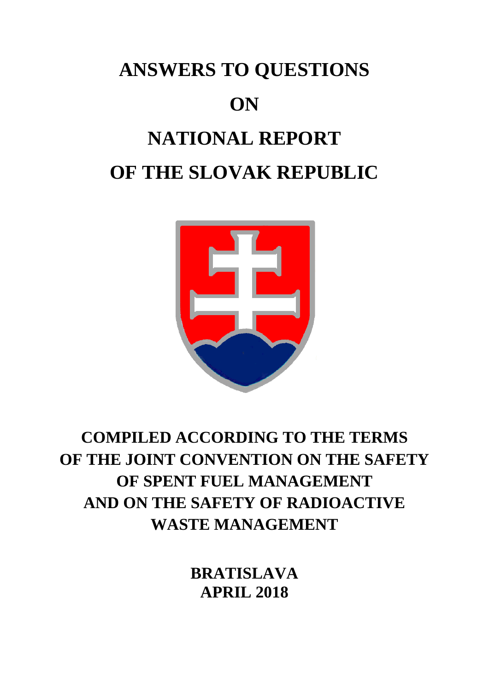## **ANSWERS TO QUESTIONS ON NATIONAL REPORT OF THE SLOVAK REPUBLIC**



## **COMPILED ACCORDING TO THE TERMS OF THE JOINT CONVENTION ON THE SAFETY OF SPENT FUEL MANAGEMENT AND ON THE SAFETY OF RADIOACTIVE WASTE MANAGEMENT**

**BRATISLAVA APRIL 2018**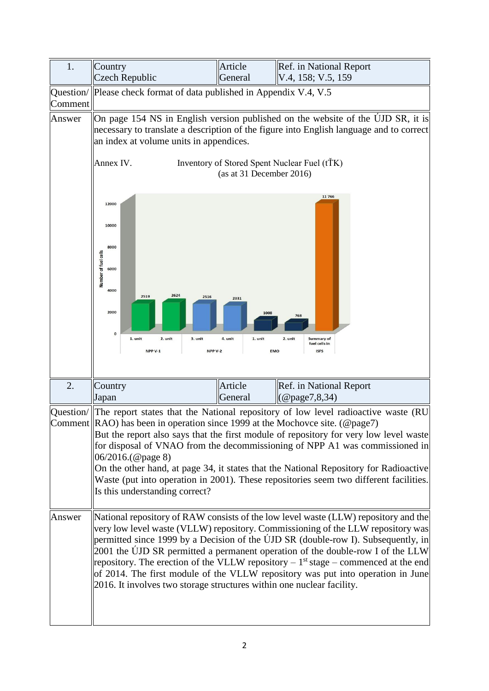| 1.      | Country<br><b>Czech Republic</b>                                                                                                                                                                                                                                                                               | Article<br>General                               | Ref. in National Report<br>V.4, 158; V.5, 159                                                                                                                                                                                                                                                                                                                                                                                                                                                                           |
|---------|----------------------------------------------------------------------------------------------------------------------------------------------------------------------------------------------------------------------------------------------------------------------------------------------------------------|--------------------------------------------------|-------------------------------------------------------------------------------------------------------------------------------------------------------------------------------------------------------------------------------------------------------------------------------------------------------------------------------------------------------------------------------------------------------------------------------------------------------------------------------------------------------------------------|
| Comment | Question/   Please check format of data published in Appendix V.4, V.5                                                                                                                                                                                                                                         |                                                  |                                                                                                                                                                                                                                                                                                                                                                                                                                                                                                                         |
| Answer  | On page 154 NS in English version published on the website of the UJD SR, it is<br>necessary to translate a description of the figure into English language and to correct<br>an index at volume units in appendices.<br>Inventory of Stored Spent Nuclear Fuel (tTK)<br>Annex IV.<br>(as at 31 December 2016) |                                                  |                                                                                                                                                                                                                                                                                                                                                                                                                                                                                                                         |
|         |                                                                                                                                                                                                                                                                                                                |                                                  |                                                                                                                                                                                                                                                                                                                                                                                                                                                                                                                         |
|         | 12000<br>10000<br>8000<br>Number of fuel cells<br>6000<br>4000<br>2624<br>2519<br>2516<br>2000<br>$\mathbf 0$<br>1. unit<br>3. unit<br>2. unit<br>NPP V-1<br>NPP V-2                                                                                                                                           | 2331<br>1008<br>4. unit<br>1. unit<br><b>EMO</b> | 11766<br>768<br>2. unit<br>Summary of<br>fuel cells in<br><b>ISFS</b>                                                                                                                                                                                                                                                                                                                                                                                                                                                   |
| 2.      | Country<br>Japan                                                                                                                                                                                                                                                                                               | Article<br>General                               | Ref. in National Report<br>$(Q$ page $7, 8, 34)$                                                                                                                                                                                                                                                                                                                                                                                                                                                                        |
|         |                                                                                                                                                                                                                                                                                                                |                                                  | Question/ $\ $ The report states that the National repository of low level radioactive waste (RU                                                                                                                                                                                                                                                                                                                                                                                                                        |
|         | Comment RAO) has been in operation since 1999 at the Mochove site. (@page7)                                                                                                                                                                                                                                    |                                                  |                                                                                                                                                                                                                                                                                                                                                                                                                                                                                                                         |
|         | 06/2016.(@page 8)<br>Is this understanding correct?                                                                                                                                                                                                                                                            |                                                  | But the report also says that the first module of repository for very low level waste<br>for disposal of VNAO from the decommissioning of NPP A1 was commissioned in<br>On the other hand, at page 34, it states that the National Repository for Radioactive<br>Waste (put into operation in 2001). These repositories seem two different facilities.                                                                                                                                                                  |
| Answer  | 2016. It involves two storage structures within one nuclear facility.                                                                                                                                                                                                                                          |                                                  | National repository of RAW consists of the low level waste (LLW) repository and the<br>very low level waste (VLLW) repository. Commissioning of the LLW repository was<br>permitted since 1999 by a Decision of the UJD SR (double-row I). Subsequently, in<br>2001 the ÚJD SR permitted a permanent operation of the double-row I of the LLW<br>repository. The erection of the VLLW repository $-1st$ stage – commenced at the end<br>of 2014. The first module of the VLLW repository was put into operation in June |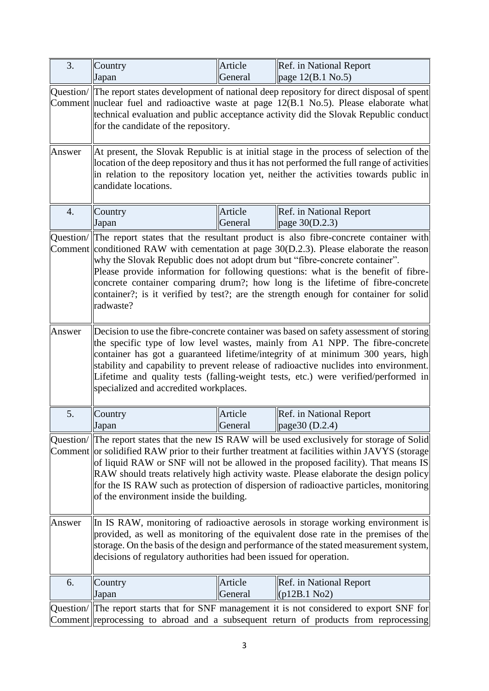| 3.                   | Country                                                                                                                                                                                                                                                                                                                                                                                                                                                                                                                             | Article            | Ref. in National Report                                                                                                                                                            |
|----------------------|-------------------------------------------------------------------------------------------------------------------------------------------------------------------------------------------------------------------------------------------------------------------------------------------------------------------------------------------------------------------------------------------------------------------------------------------------------------------------------------------------------------------------------------|--------------------|------------------------------------------------------------------------------------------------------------------------------------------------------------------------------------|
|                      | Japan                                                                                                                                                                                                                                                                                                                                                                                                                                                                                                                               | General            | page 12(B.1 No.5)                                                                                                                                                                  |
|                      | Question/ The report states development of national deep repository for direct disposal of spent<br>Comment nuclear fuel and radioactive waste at page $12(B.1 \text{ No.5})$ . Please elaborate what<br>technical evaluation and public acceptance activity did the Slovak Republic conduct<br>for the candidate of the repository.                                                                                                                                                                                                |                    |                                                                                                                                                                                    |
| Answer               | At present, the Slovak Republic is at initial stage in the process of selection of the<br>location of the deep repository and thus it has not performed the full range of activities<br>in relation to the repository location yet, neither the activities towards public in<br>candidate locations.                                                                                                                                                                                                                                |                    |                                                                                                                                                                                    |
| $\overline{4}$ .     | Country<br>Japan                                                                                                                                                                                                                                                                                                                                                                                                                                                                                                                    | Article<br>General | Ref. in National Report<br>page 30(D.2.3)                                                                                                                                          |
| Question/<br>Comment | The report states that the resultant product is also fibre-concrete container with<br>conditioned RAW with cementation at page $30(D.2.3)$ . Please elaborate the reason<br>why the Slovak Republic does not adopt drum but "fibre-concrete container".<br>Please provide information for following questions: what is the benefit of fibre-<br>concrete container comparing drum?; how long is the lifetime of fibre-concrete<br>container?; is it verified by test?; are the strength enough for container for solid<br>radwaste? |                    |                                                                                                                                                                                    |
| Answer               | Decision to use the fibre-concrete container was based on safety assessment of storing<br>the specific type of low level wastes, mainly from A1 NPP. The fibre-concrete<br>container has got a guaranteed lifetime/integrity of at minimum 300 years, high<br>stability and capability to prevent release of radioactive nuclides into environment.<br>Lifetime and quality tests (falling-weight tests, etc.) were verified/performed in<br>specialized and accredited workplaces.                                                 |                    |                                                                                                                                                                                    |
| 5.                   | Country<br>Japan                                                                                                                                                                                                                                                                                                                                                                                                                                                                                                                    | Article<br>General | Ref. in National Report<br>page $30(D.2.4)$                                                                                                                                        |
| Question/<br>Comment | The report states that the new IS RAW will be used exclusively for storage of Solid<br>or solidified RAW prior to their further treatment at facilities within JAVYS (storage<br>of liquid RAW or SNF will not be allowed in the proposed facility). That means IS<br>RAW should treats relatively high activity waste. Please elaborate the design policy<br>for the IS RAW such as protection of dispersion of radioactive particles, monitoring<br>of the environment inside the building.                                       |                    |                                                                                                                                                                                    |
| Answer               | In IS RAW, monitoring of radioactive aerosols in storage working environment is<br>provided, as well as monitoring of the equivalent dose rate in the premises of the<br>storage. On the basis of the design and performance of the stated measurement system,<br>decisions of regulatory authorities had been issued for operation.                                                                                                                                                                                                |                    |                                                                                                                                                                                    |
| 6.                   | Country<br>Japan                                                                                                                                                                                                                                                                                                                                                                                                                                                                                                                    | Article<br>General | <b>Ref.</b> in National Report<br>$(p12B.1\ No2)$                                                                                                                                  |
|                      |                                                                                                                                                                                                                                                                                                                                                                                                                                                                                                                                     |                    | Question/ The report starts that for SNF management it is not considered to export SNF for<br>Comment reprocessing to abroad and a subsequent return of products from reprocessing |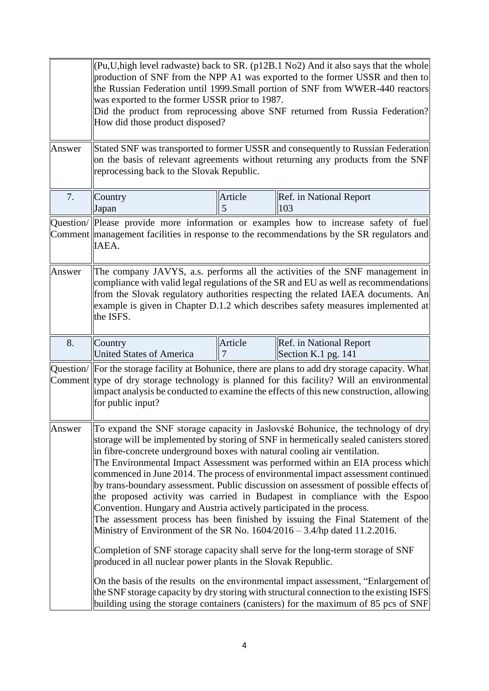|        | (Pu, U, high level radwaste) back to SR. (p12B.1 No2) And it also says that the whole<br>production of SNF from the NPP A1 was exported to the former USSR and then to<br>the Russian Federation until 1999.Small portion of SNF from WWER-440 reactors<br>was exported to the former USSR prior to 1987.<br>Did the product from reprocessing above SNF returned from Russia Federation?<br>How did those product disposed?                                                                                                                                                                                                                                                                                                                                                                                                                                                                                                   |                                                                                                                                                                                                                  |                                                                                                                                                                                    |  |
|--------|--------------------------------------------------------------------------------------------------------------------------------------------------------------------------------------------------------------------------------------------------------------------------------------------------------------------------------------------------------------------------------------------------------------------------------------------------------------------------------------------------------------------------------------------------------------------------------------------------------------------------------------------------------------------------------------------------------------------------------------------------------------------------------------------------------------------------------------------------------------------------------------------------------------------------------|------------------------------------------------------------------------------------------------------------------------------------------------------------------------------------------------------------------|------------------------------------------------------------------------------------------------------------------------------------------------------------------------------------|--|
|        |                                                                                                                                                                                                                                                                                                                                                                                                                                                                                                                                                                                                                                                                                                                                                                                                                                                                                                                                |                                                                                                                                                                                                                  |                                                                                                                                                                                    |  |
| Answer |                                                                                                                                                                                                                                                                                                                                                                                                                                                                                                                                                                                                                                                                                                                                                                                                                                                                                                                                | Stated SNF was transported to former USSR and consequently to Russian Federation<br>on the basis of relevant agreements without returning any products from the SNF<br>reprocessing back to the Slovak Republic. |                                                                                                                                                                                    |  |
| 7.     | Country<br>Japan                                                                                                                                                                                                                                                                                                                                                                                                                                                                                                                                                                                                                                                                                                                                                                                                                                                                                                               | Article<br>5                                                                                                                                                                                                     | Ref. in National Report<br>103                                                                                                                                                     |  |
|        | IAEA.                                                                                                                                                                                                                                                                                                                                                                                                                                                                                                                                                                                                                                                                                                                                                                                                                                                                                                                          |                                                                                                                                                                                                                  | Question/  Please provide more information or examples how to increase safety of fuel<br>Comment management facilities in response to the recommendations by the SR regulators and |  |
| Answer | The company JAVYS, a.s. performs all the activities of the SNF management in<br>compliance with valid legal regulations of the SR and EU as well as recommendations<br>from the Slovak regulatory authorities respecting the related IAEA documents. An<br>example is given in Chapter D.1.2 which describes safety measures implemented at<br>the ISFS.                                                                                                                                                                                                                                                                                                                                                                                                                                                                                                                                                                       |                                                                                                                                                                                                                  |                                                                                                                                                                                    |  |
| 8.     | Country<br><b>United States of America</b>                                                                                                                                                                                                                                                                                                                                                                                                                                                                                                                                                                                                                                                                                                                                                                                                                                                                                     | Article                                                                                                                                                                                                          | Ref. in National Report<br>Section K.1 pg. 141                                                                                                                                     |  |
|        | Question/ For the storage facility at Bohunice, there are plans to add dry storage capacity. What<br>Comment type of dry storage technology is planned for this facility? Will an environmental<br>impact analysis be conducted to examine the effects of this new construction, allowing<br>for public input?                                                                                                                                                                                                                                                                                                                                                                                                                                                                                                                                                                                                                 |                                                                                                                                                                                                                  |                                                                                                                                                                                    |  |
| Answer | To expand the SNF storage capacity in Jaslovské Bohunice, the technology of dry<br>storage will be implemented by storing of SNF in hermetically sealed canisters stored<br>in fibre-concrete underground boxes with natural cooling air ventilation.<br>The Environmental Impact Assessment was performed within an EIA process which<br>commenced in June 2014. The process of environmental impact assessment continued<br>by trans-boundary assessment. Public discussion on assessment of possible effects of<br>the proposed activity was carried in Budapest in compliance with the Espoo<br>Convention. Hungary and Austria actively participated in the process.<br>The assessment process has been finished by issuing the Final Statement of the<br>Ministry of Environment of the SR No. $1604/2016 - 3.4$ /hp dated 11.2.2016.<br>Completion of SNF storage capacity shall serve for the long-term storage of SNF |                                                                                                                                                                                                                  |                                                                                                                                                                                    |  |
|        | produced in all nuclear power plants in the Slovak Republic.                                                                                                                                                                                                                                                                                                                                                                                                                                                                                                                                                                                                                                                                                                                                                                                                                                                                   |                                                                                                                                                                                                                  | On the basis of the results on the environmental impact assessment, "Enlargement of                                                                                                |  |
|        |                                                                                                                                                                                                                                                                                                                                                                                                                                                                                                                                                                                                                                                                                                                                                                                                                                                                                                                                |                                                                                                                                                                                                                  | the SNF storage capacity by dry storing with structural connection to the existing ISFS<br>building using the storage containers (canisters) for the maximum of 85 pcs of SNF      |  |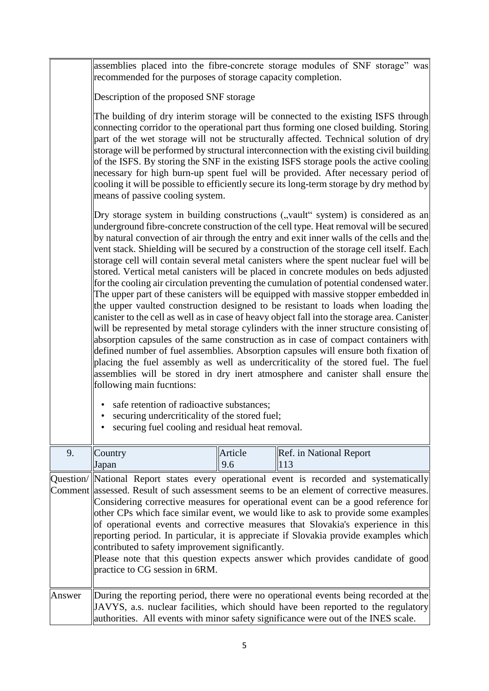|        | recommended for the purposes of storage capacity completion.                                                                                                                                                                                                                                                                                                                                                                                                                                                                                                                                                                                                                  |         | assemblies placed into the fibre-concrete storage modules of SNF storage" was                                                                                                                                                                                                                                                                                                                                                                                                                                                                                                                                                                                                                                                                                                                                                                                                                                                                                                                                                                                                                                                                                                                                                                                                                                                                                               |  |
|--------|-------------------------------------------------------------------------------------------------------------------------------------------------------------------------------------------------------------------------------------------------------------------------------------------------------------------------------------------------------------------------------------------------------------------------------------------------------------------------------------------------------------------------------------------------------------------------------------------------------------------------------------------------------------------------------|---------|-----------------------------------------------------------------------------------------------------------------------------------------------------------------------------------------------------------------------------------------------------------------------------------------------------------------------------------------------------------------------------------------------------------------------------------------------------------------------------------------------------------------------------------------------------------------------------------------------------------------------------------------------------------------------------------------------------------------------------------------------------------------------------------------------------------------------------------------------------------------------------------------------------------------------------------------------------------------------------------------------------------------------------------------------------------------------------------------------------------------------------------------------------------------------------------------------------------------------------------------------------------------------------------------------------------------------------------------------------------------------------|--|
|        | Description of the proposed SNF storage                                                                                                                                                                                                                                                                                                                                                                                                                                                                                                                                                                                                                                       |         |                                                                                                                                                                                                                                                                                                                                                                                                                                                                                                                                                                                                                                                                                                                                                                                                                                                                                                                                                                                                                                                                                                                                                                                                                                                                                                                                                                             |  |
|        | The building of dry interim storage will be connected to the existing ISFS through<br>connecting corridor to the operational part thus forming one closed building. Storing<br>part of the wet storage will not be structurally affected. Technical solution of dry<br>storage will be performed by structural interconnection with the existing civil building<br>of the ISFS. By storing the SNF in the existing ISFS storage pools the active cooling<br>necessary for high burn-up spent fuel will be provided. After necessary period of<br>cooling it will be possible to efficiently secure its long-term storage by dry method by<br>means of passive cooling system. |         |                                                                                                                                                                                                                                                                                                                                                                                                                                                                                                                                                                                                                                                                                                                                                                                                                                                                                                                                                                                                                                                                                                                                                                                                                                                                                                                                                                             |  |
|        | following main fucntions:<br>safe retention of radioactive substances;<br>$\bullet$<br>securing undercriticality of the stored fuel;<br>securing fuel cooling and residual heat removal.                                                                                                                                                                                                                                                                                                                                                                                                                                                                                      |         | Dry storage system in building constructions ("vault" system) is considered as an<br>underground fibre-concrete construction of the cell type. Heat removal will be secured<br>by natural convection of air through the entry and exit inner walls of the cells and the<br>vent stack. Shielding will be secured by a construction of the storage cell itself. Each<br>storage cell will contain several metal canisters where the spent nuclear fuel will be<br>stored. Vertical metal canisters will be placed in concrete modules on beds adjusted<br>for the cooling air circulation preventing the cumulation of potential condensed water.<br>The upper part of these canisters will be equipped with massive stopper embedded in<br>the upper vaulted construction designed to be resistant to loads when loading the<br>canister to the cell as well as in case of heavy object fall into the storage area. Canister<br>will be represented by metal storage cylinders with the inner structure consisting of<br>absorption capsules of the same construction as in case of compact containers with<br>defined number of fuel assemblies. Absorption capsules will ensure both fixation of<br>placing the fuel assembly as well as undercriticality of the stored fuel. The fuel<br>assemblies will be stored in dry inert atmosphere and canister shall ensure the |  |
| 9.     | Country                                                                                                                                                                                                                                                                                                                                                                                                                                                                                                                                                                                                                                                                       | Article | Ref. in National Report                                                                                                                                                                                                                                                                                                                                                                                                                                                                                                                                                                                                                                                                                                                                                                                                                                                                                                                                                                                                                                                                                                                                                                                                                                                                                                                                                     |  |
|        | Japan<br>contributed to safety improvement significantly.<br>practice to CG session in 6RM.                                                                                                                                                                                                                                                                                                                                                                                                                                                                                                                                                                                   | 9.6     | 113<br>Question/ National Report states every operational event is recorded and systematically<br>Comment assessed. Result of such assessment seems to be an element of corrective measures.<br>Considering corrective measures for operational event can be a good reference for<br>other CPs which face similar event, we would like to ask to provide some examples<br>of operational events and corrective measures that Slovakia's experience in this<br>reporting period. In particular, it is appreciate if Slovakia provide examples which<br>Please note that this question expects answer which provides candidate of good                                                                                                                                                                                                                                                                                                                                                                                                                                                                                                                                                                                                                                                                                                                                        |  |
| Answer |                                                                                                                                                                                                                                                                                                                                                                                                                                                                                                                                                                                                                                                                               |         | During the reporting period, there were no operational events being recorded at the<br>JAVYS, a.s. nuclear facilities, which should have been reported to the regulatory<br>authorities. All events with minor safety significance were out of the INES scale.                                                                                                                                                                                                                                                                                                                                                                                                                                                                                                                                                                                                                                                                                                                                                                                                                                                                                                                                                                                                                                                                                                              |  |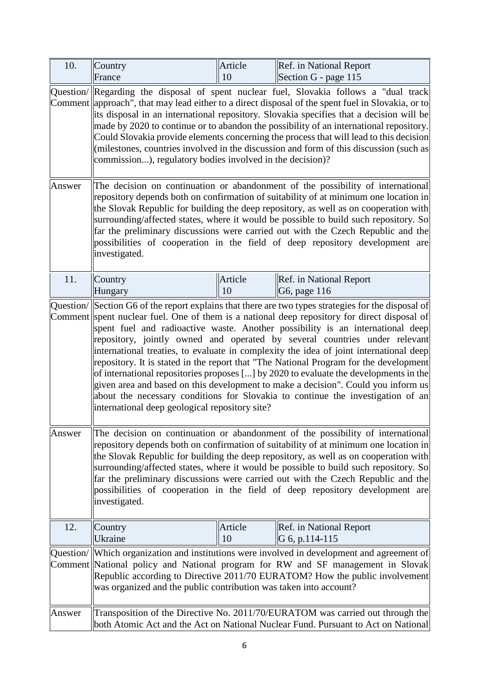| 10.    | Country<br>France                                                 | Article<br>10 | Ref. in National Report<br>Section G - page 115                                                                                                                                                                                                                                                                                                                                                                                                                                                                                                                                                                                                                                                                                                                                                                         |
|--------|-------------------------------------------------------------------|---------------|-------------------------------------------------------------------------------------------------------------------------------------------------------------------------------------------------------------------------------------------------------------------------------------------------------------------------------------------------------------------------------------------------------------------------------------------------------------------------------------------------------------------------------------------------------------------------------------------------------------------------------------------------------------------------------------------------------------------------------------------------------------------------------------------------------------------------|
|        |                                                                   |               |                                                                                                                                                                                                                                                                                                                                                                                                                                                                                                                                                                                                                                                                                                                                                                                                                         |
| Answer | commission), regulatory bodies involved in the decision)?         |               | Question/ Regarding the disposal of spent nuclear fuel, Slovakia follows a "dual track<br>Comment   approach", that may lead either to a direct disposal of the spent fuel in Slovakia, or to<br>its disposal in an international repository. Slovakia specifies that a decision will be<br>made by 2020 to continue or to abandon the possibility of an international repository.<br>Could Slovakia provide elements concerning the process that will lead to this decision<br>(milestones, countries involved in the discussion and form of this discussion (such as<br>The decision on continuation or abandonment of the possibility of international                                                                                                                                                               |
|        | investigated.                                                     |               | repository depends both on confirmation of suitability of at minimum one location in<br>the Slovak Republic for building the deep repository, as well as on cooperation with<br>surrounding/affected states, where it would be possible to build such repository. So<br>far the preliminary discussions were carried out with the Czech Republic and the<br>possibilities of cooperation in the field of deep repository development are                                                                                                                                                                                                                                                                                                                                                                                |
| 11.    | Country<br>Hungary                                                | Article<br>10 | Ref. in National Report<br>G6, page 116                                                                                                                                                                                                                                                                                                                                                                                                                                                                                                                                                                                                                                                                                                                                                                                 |
|        | international deep geological repository site?                    |               | Question/ Section G6 of the report explains that there are two types strategies for the disposal of<br>Comment spent nuclear fuel. One of them is a national deep repository for direct disposal of<br>spent fuel and radioactive waste. Another possibility is an international deep<br>repository, jointly owned and operated by several countries under relevant<br>international treaties, to evaluate in complexity the idea of joint international deep<br>repository. It is stated in the report that "The National Program for the development<br>of international repositories proposes [] by 2020 to evaluate the developments in the<br>given area and based on this development to make a decision". Could you inform us<br>about the necessary conditions for Slovakia to continue the investigation of an |
| Answer | investigated.                                                     |               | The decision on continuation or abandonment of the possibility of international<br>repository depends both on confirmation of suitability of at minimum one location in<br>the Slovak Republic for building the deep repository, as well as on cooperation with<br>surrounding/affected states, where it would be possible to build such repository. So<br>far the preliminary discussions were carried out with the Czech Republic and the<br>possibilities of cooperation in the field of deep repository development are                                                                                                                                                                                                                                                                                             |
| 12.    | Country<br>Ukraine                                                | Article<br>10 | Ref. in National Report<br>G 6, p.114-115                                                                                                                                                                                                                                                                                                                                                                                                                                                                                                                                                                                                                                                                                                                                                                               |
|        | was organized and the public contribution was taken into account? |               | Question/ Which organization and institutions were involved in development and agreement of<br>Comment National policy and National program for RW and SF management in Slovak<br>Republic according to Directive 2011/70 EURATOM? How the public involvement                                                                                                                                                                                                                                                                                                                                                                                                                                                                                                                                                           |
| Answer |                                                                   |               | Transposition of the Directive No. 2011/70/EURATOM was carried out through the<br>both Atomic Act and the Act on National Nuclear Fund. Pursuant to Act on National                                                                                                                                                                                                                                                                                                                                                                                                                                                                                                                                                                                                                                                     |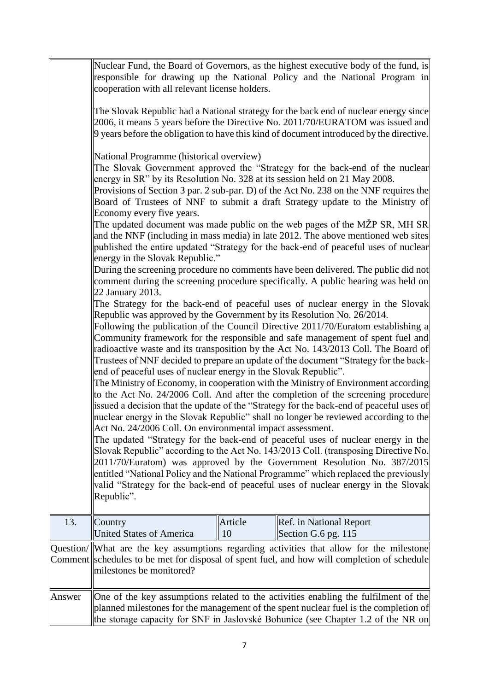|         | Nuclear Fund, the Board of Governors, as the highest executive body of the fund, is<br>responsible for drawing up the National Policy and the National Program in<br>cooperation with all relevant license holders.<br>The Slovak Republic had a National strategy for the back end of nuclear energy since<br>2006, it means 5 years before the Directive No. 2011/70/EURATOM was issued and                                                                                                                                                                                                                                                                                                                                                                                                                                                                                                                                                                                                                                                                                                                                                                                                                                                                                                                                                                                                                                                                                                                                                                                                                                                                                                                                                                                                                                                                                                                                                                                                                                                                                                                                                                                                                                                                                                                                                                                                                                                                      |
|---------|--------------------------------------------------------------------------------------------------------------------------------------------------------------------------------------------------------------------------------------------------------------------------------------------------------------------------------------------------------------------------------------------------------------------------------------------------------------------------------------------------------------------------------------------------------------------------------------------------------------------------------------------------------------------------------------------------------------------------------------------------------------------------------------------------------------------------------------------------------------------------------------------------------------------------------------------------------------------------------------------------------------------------------------------------------------------------------------------------------------------------------------------------------------------------------------------------------------------------------------------------------------------------------------------------------------------------------------------------------------------------------------------------------------------------------------------------------------------------------------------------------------------------------------------------------------------------------------------------------------------------------------------------------------------------------------------------------------------------------------------------------------------------------------------------------------------------------------------------------------------------------------------------------------------------------------------------------------------------------------------------------------------------------------------------------------------------------------------------------------------------------------------------------------------------------------------------------------------------------------------------------------------------------------------------------------------------------------------------------------------------------------------------------------------------------------------------------------------|
|         | 9 years before the obligation to have this kind of document introduced by the directive.<br>National Programme (historical overview)<br>The Slovak Government approved the "Strategy for the back-end of the nuclear<br>energy in SR" by its Resolution No. 328 at its session held on 21 May 2008.<br>Provisions of Section 3 par. 2 sub-par. D) of the Act No. 238 on the NNF requires the<br>Board of Trustees of NNF to submit a draft Strategy update to the Ministry of<br>Economy every five years.<br>The updated document was made public on the web pages of the MŽP SR, MH SR<br>and the NNF (including in mass media) in late 2012. The above mentioned web sites<br>published the entire updated "Strategy for the back-end of peaceful uses of nuclear<br>energy in the Slovak Republic."<br>During the screening procedure no comments have been delivered. The public did not<br>comment during the screening procedure specifically. A public hearing was held on<br>22 January 2013.<br>The Strategy for the back-end of peaceful uses of nuclear energy in the Slovak<br>Republic was approved by the Government by its Resolution No. 26/2014.<br>Following the publication of the Council Directive 2011/70/Euratom establishing a<br>Community framework for the responsible and safe management of spent fuel and<br>radioactive waste and its transposition by the Act No. 143/2013 Coll. The Board of<br>Trustees of NNF decided to prepare an update of the document "Strategy for the back-<br>end of peaceful uses of nuclear energy in the Slovak Republic".<br>The Ministry of Economy, in cooperation with the Ministry of Environment according<br>to the Act No. 24/2006 Coll. And after the completion of the screening procedure<br>issued a decision that the update of the "Strategy for the back-end of peaceful uses of<br>nuclear energy in the Slovak Republic" shall no longer be reviewed according to the<br>Act No. 24/2006 Coll. On environmental impact assessment.<br>The updated "Strategy for the back-end of peaceful uses of nuclear energy in the<br>Slovak Republic" according to the Act No. 143/2013 Coll. (transposing Directive No.<br>2011/70/Euratom) was approved by the Government Resolution No. 387/2015<br>entitled "National Policy and the National Programme" which replaced the previously<br>valid "Strategy for the back-end of peaceful uses of nuclear energy in the Slovak<br>Republic". |
| 13.     | Article<br>Ref. in National Report<br>Country<br><b>United States of America</b><br>10<br>Section G.6 pg. 115                                                                                                                                                                                                                                                                                                                                                                                                                                                                                                                                                                                                                                                                                                                                                                                                                                                                                                                                                                                                                                                                                                                                                                                                                                                                                                                                                                                                                                                                                                                                                                                                                                                                                                                                                                                                                                                                                                                                                                                                                                                                                                                                                                                                                                                                                                                                                      |
| Comment | Question/ What are the key assumptions regarding activities that allow for the milestone<br>schedules to be met for disposal of spent fuel, and how will completion of schedule<br>milestones be monitored?                                                                                                                                                                                                                                                                                                                                                                                                                                                                                                                                                                                                                                                                                                                                                                                                                                                                                                                                                                                                                                                                                                                                                                                                                                                                                                                                                                                                                                                                                                                                                                                                                                                                                                                                                                                                                                                                                                                                                                                                                                                                                                                                                                                                                                                        |
| Answer  | One of the key assumptions related to the activities enabling the fulfilment of the<br>planned milestones for the management of the spent nuclear fuel is the completion of<br>the storage capacity for SNF in Jaslovské Bohunice (see Chapter 1.2 of the NR on                                                                                                                                                                                                                                                                                                                                                                                                                                                                                                                                                                                                                                                                                                                                                                                                                                                                                                                                                                                                                                                                                                                                                                                                                                                                                                                                                                                                                                                                                                                                                                                                                                                                                                                                                                                                                                                                                                                                                                                                                                                                                                                                                                                                    |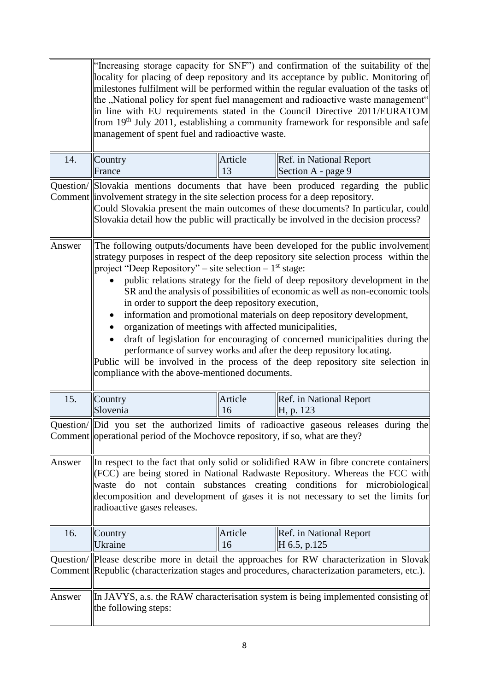|        | "Increasing storage capacity for SNF") and confirmation of the suitability of the<br>locality for placing of deep repository and its acceptance by public. Monitoring of<br>milestones fulfilment will be performed within the regular evaluation of the tasks of<br>the "National policy for spent fuel management and radioactive waste management"<br>in line with EU requirements stated in the Council Directive 2011/EURATOM<br>from 19 <sup>th</sup> July 2011, establishing a community framework for responsible and safe<br>management of spent fuel and radioactive waste.                                                                                                                                                                                                                                                                                                       |               |                                                                                        |  |
|--------|---------------------------------------------------------------------------------------------------------------------------------------------------------------------------------------------------------------------------------------------------------------------------------------------------------------------------------------------------------------------------------------------------------------------------------------------------------------------------------------------------------------------------------------------------------------------------------------------------------------------------------------------------------------------------------------------------------------------------------------------------------------------------------------------------------------------------------------------------------------------------------------------|---------------|----------------------------------------------------------------------------------------|--|
| 14.    | Country<br>France                                                                                                                                                                                                                                                                                                                                                                                                                                                                                                                                                                                                                                                                                                                                                                                                                                                                           | Article<br>13 | Ref. in National Report<br>Section A - page 9                                          |  |
|        | Question/ Slovakia mentions documents that have been produced regarding the public<br>Comment involvement strategy in the site selection process for a deep repository.<br>Could Slovakia present the main outcomes of these documents? In particular, could<br>Slovakia detail how the public will practically be involved in the decision process?                                                                                                                                                                                                                                                                                                                                                                                                                                                                                                                                        |               |                                                                                        |  |
| Answer | The following outputs/documents have been developed for the public involvement<br>strategy purposes in respect of the deep repository site selection process within the<br>project "Deep Repository" – site selection – $1st$ stage:<br>public relations strategy for the field of deep repository development in the<br>SR and the analysis of possibilities of economic as well as non-economic tools<br>in order to support the deep repository execution,<br>information and promotional materials on deep repository development,<br>organization of meetings with affected municipalities,<br>draft of legislation for encouraging of concerned municipalities during the<br>performance of survey works and after the deep repository locating.<br>Public will be involved in the process of the deep repository site selection in<br>compliance with the above-mentioned documents. |               |                                                                                        |  |
| 15.    | Country<br>Ref. in National Report<br>Article<br>Slovenia<br>16<br>H, p. 123                                                                                                                                                                                                                                                                                                                                                                                                                                                                                                                                                                                                                                                                                                                                                                                                                |               |                                                                                        |  |
|        | Comment operational period of the Mochovce repository, if so, what are they?                                                                                                                                                                                                                                                                                                                                                                                                                                                                                                                                                                                                                                                                                                                                                                                                                |               | Question/ Did you set the authorized limits of radioactive gaseous releases during the |  |
| Answer | In respect to the fact that only solid or solidified RAW in fibre concrete containers<br>(FCC) are being stored in National Radwaste Repository. Whereas the FCC with<br>waste do not contain substances creating conditions for microbiological<br>decomposition and development of gases it is not necessary to set the limits for<br>radioactive gases releases.                                                                                                                                                                                                                                                                                                                                                                                                                                                                                                                         |               |                                                                                        |  |
| 16.    | Country<br>Ukraine                                                                                                                                                                                                                                                                                                                                                                                                                                                                                                                                                                                                                                                                                                                                                                                                                                                                          | Article<br>16 | Ref. in National Report<br>H 6.5, p.125                                                |  |
|        | Question/  Please describe more in detail the approaches for RW characterization in Slovak<br>Comment Republic (characterization stages and procedures, characterization parameters, etc.).                                                                                                                                                                                                                                                                                                                                                                                                                                                                                                                                                                                                                                                                                                 |               |                                                                                        |  |
| Answer | the following steps:                                                                                                                                                                                                                                                                                                                                                                                                                                                                                                                                                                                                                                                                                                                                                                                                                                                                        |               | In JAVYS, a.s. the RAW characterisation system is being implemented consisting of      |  |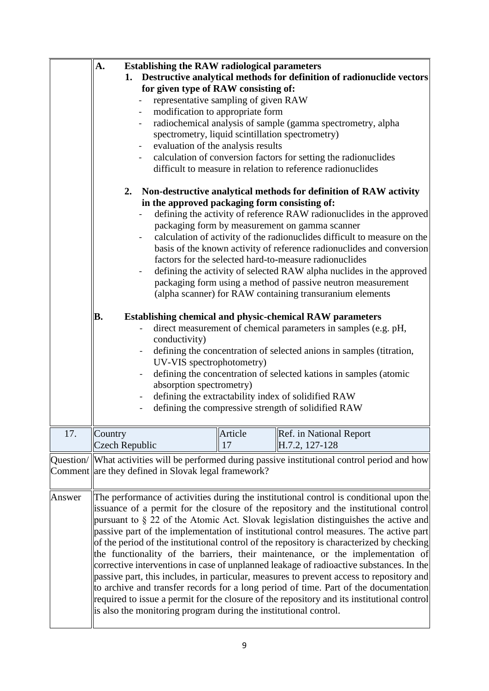|        | <b>Establishing the RAW radiological parameters</b><br>A.<br>Destructive analytical methods for definition of radionuclide vectors<br>1.<br>for given type of RAW consisting of:<br>representative sampling of given RAW<br>modification to appropriate form<br>$\blacksquare$<br>radiochemical analysis of sample (gamma spectrometry, alpha<br>$\blacksquare$<br>spectrometry, liquid scintillation spectrometry)<br>evaluation of the analysis results<br>$\blacksquare$<br>calculation of conversion factors for setting the radionuclides<br>difficult to measure in relation to reference radionuclides<br>2. Non-destructive analytical methods for definition of RAW activity<br>in the approved packaging form consisting of:<br>defining the activity of reference RAW radionuclides in the approved<br>packaging form by measurement on gamma scanner<br>calculation of activity of the radionuclides difficult to measure on the<br>basis of the known activity of reference radionuclides and conversion |
|--------|-----------------------------------------------------------------------------------------------------------------------------------------------------------------------------------------------------------------------------------------------------------------------------------------------------------------------------------------------------------------------------------------------------------------------------------------------------------------------------------------------------------------------------------------------------------------------------------------------------------------------------------------------------------------------------------------------------------------------------------------------------------------------------------------------------------------------------------------------------------------------------------------------------------------------------------------------------------------------------------------------------------------------|
|        | factors for the selected hard-to-measure radionuclides<br>defining the activity of selected RAW alpha nuclides in the approved<br>packaging form using a method of passive neutron measurement<br>(alpha scanner) for RAW containing transuranium elements<br>B.<br><b>Establishing chemical and physic-chemical RAW parameters</b><br>direct measurement of chemical parameters in samples (e.g. pH,<br>conductivity)<br>defining the concentration of selected anions in samples (titration,<br>UV-VIS spectrophotometry)<br>defining the concentration of selected kations in samples (atomic<br>absorption spectrometry)<br>defining the extractability index of solidified RAW<br>$\blacksquare$<br>defining the compressive strength of solidified RAW                                                                                                                                                                                                                                                          |
| 17.    | Article<br>Ref. in National Report<br>Country<br>Czech Republic<br>H.7.2, 127-128<br>17                                                                                                                                                                                                                                                                                                                                                                                                                                                                                                                                                                                                                                                                                                                                                                                                                                                                                                                               |
|        | Question/ What activities will be performed during passive institutional control period and how<br>Comment are they defined in Slovak legal framework?                                                                                                                                                                                                                                                                                                                                                                                                                                                                                                                                                                                                                                                                                                                                                                                                                                                                |
| Answer | The performance of activities during the institutional control is conditional upon the<br>issuance of a permit for the closure of the repository and the institutional control<br>pursuant to § 22 of the Atomic Act. Slovak legislation distinguishes the active and<br>passive part of the implementation of institutional control measures. The active part<br>of the period of the institutional control of the repository is characterized by checking<br>the functionality of the barriers, their maintenance, or the implementation of<br>corrective interventions in case of unplanned leakage of radioactive substances. In the<br>passive part, this includes, in particular, measures to prevent access to repository and<br>to archive and transfer records for a long period of time. Part of the documentation<br>required to issue a permit for the closure of the repository and its institutional control<br>is also the monitoring program during the institutional control.                        |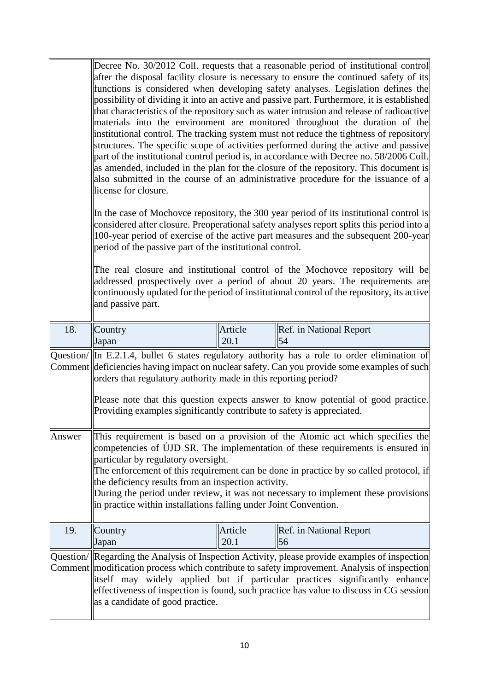|        | Decree No. 30/2012 Coll. requests that a reasonable period of institutional control<br>after the disposal facility closure is necessary to ensure the continued safety of its<br>functions is considered when developing safety analyses. Legislation defines the<br>possibility of dividing it into an active and passive part. Furthermore, it is established<br>that characteristics of the repository such as water intrusion and release of radioactive<br>materials into the environment are monitored throughout the duration of the<br>institutional control. The tracking system must not reduce the tightness of repository<br>structures. The specific scope of activities performed during the active and passive<br>part of the institutional control period is, in accordance with Decree no. 58/2006 Coll.<br>as amended, included in the plan for the closure of the repository. This document is<br>also submitted in the course of an administrative procedure for the issuance of a<br>license for closure.<br>In the case of Mochovce repository, the 300 year period of its institutional control is<br>considered after closure. Preoperational safety analyses report splits this period into a<br>100-year period of exercise of the active part measures and the subsequent 200-year<br>period of the passive part of the institutional control.<br>The real closure and institutional control of the Mochovce repository will be<br>addressed prospectively over a period of about 20 years. The requirements are<br>continuously updated for the period of institutional control of the repository, its active<br>and passive part. |                 |                               |
|--------|----------------------------------------------------------------------------------------------------------------------------------------------------------------------------------------------------------------------------------------------------------------------------------------------------------------------------------------------------------------------------------------------------------------------------------------------------------------------------------------------------------------------------------------------------------------------------------------------------------------------------------------------------------------------------------------------------------------------------------------------------------------------------------------------------------------------------------------------------------------------------------------------------------------------------------------------------------------------------------------------------------------------------------------------------------------------------------------------------------------------------------------------------------------------------------------------------------------------------------------------------------------------------------------------------------------------------------------------------------------------------------------------------------------------------------------------------------------------------------------------------------------------------------------------------------------------------------------------------------------------------------------------------------------|-----------------|-------------------------------|
| 18.    | Country<br>Japan                                                                                                                                                                                                                                                                                                                                                                                                                                                                                                                                                                                                                                                                                                                                                                                                                                                                                                                                                                                                                                                                                                                                                                                                                                                                                                                                                                                                                                                                                                                                                                                                                                               | Article<br>20.1 | Ref. in National Report<br>54 |
|        | Question/ $\ $ In E.2.1.4, bullet 6 states regulatory authority has a role to order elimination of<br>Comment deficiencies having impact on nuclear safety. Can you provide some examples of such<br>orders that regulatory authority made in this reporting period?<br>Please note that this question expects answer to know potential of good practice.<br>Providing examples significantly contribute to safety is appreciated.                                                                                                                                                                                                                                                                                                                                                                                                                                                                                                                                                                                                                                                                                                                                                                                                                                                                                                                                                                                                                                                                                                                                                                                                                             |                 |                               |
| Answer | This requirement is based on a provision of the Atomic act which specifies the<br>competencies of ÚJD SR. The implementation of these requirements is ensured in<br>particular by regulatory oversight.<br>The enforcement of this requirement can be done in practice by so called protocol, if<br>the deficiency results from an inspection activity.<br>During the period under review, it was not necessary to implement these provisions<br>in practice within installations falling under Joint Convention.                                                                                                                                                                                                                                                                                                                                                                                                                                                                                                                                                                                                                                                                                                                                                                                                                                                                                                                                                                                                                                                                                                                                              |                 |                               |
| 19.    | Country<br>Japan                                                                                                                                                                                                                                                                                                                                                                                                                                                                                                                                                                                                                                                                                                                                                                                                                                                                                                                                                                                                                                                                                                                                                                                                                                                                                                                                                                                                                                                                                                                                                                                                                                               | Article<br>20.1 | Ref. in National Report<br>56 |
|        | Question/ Regarding the Analysis of Inspection Activity, please provide examples of inspection<br>Comment   modification process which contribute to safety improvement. Analysis of inspection<br>itself may widely applied but if particular practices significantly enhance<br>effectiveness of inspection is found, such practice has value to discuss in CG session<br>as a candidate of good practice.                                                                                                                                                                                                                                                                                                                                                                                                                                                                                                                                                                                                                                                                                                                                                                                                                                                                                                                                                                                                                                                                                                                                                                                                                                                   |                 |                               |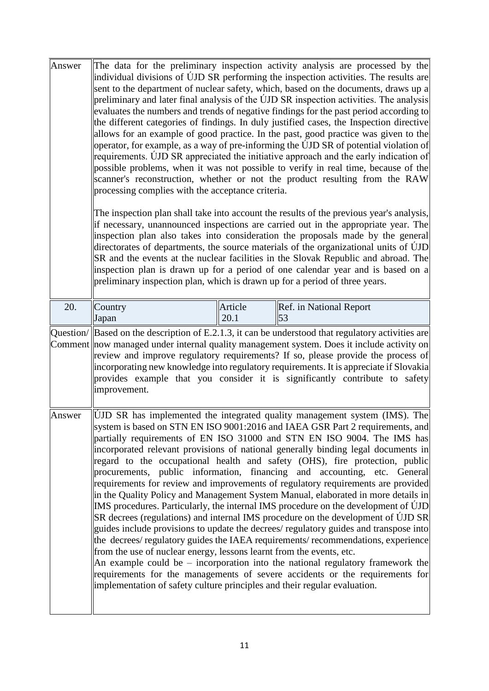| Answer | The data for the preliminary inspection activity analysis are processed by the<br>individual divisions of UJD SR performing the inspection activities. The results are<br>sent to the department of nuclear safety, which, based on the documents, draws up a<br>preliminary and later final analysis of the UJD SR inspection activities. The analysis<br>evaluates the numbers and trends of negative findings for the past period according to<br>the different categories of findings. In duly justified cases, the Inspection directive<br>allows for an example of good practice. In the past, good practice was given to the<br>operator, for example, as a way of pre-informing the UJD SR of potential violation of<br>requirements. UJD SR appreciated the initiative approach and the early indication of<br>possible problems, when it was not possible to verify in real time, because of the<br>scanner's reconstruction, whether or not the product resulting from the RAW<br>processing complies with the acceptance criteria.<br>The inspection plan shall take into account the results of the previous year's analysis,<br>if necessary, unannounced inspections are carried out in the appropriate year. The<br>inspection plan also takes into consideration the proposals made by the general<br>directorates of departments, the source materials of the organizational units of UJD |                 |                                                                                                                                                                                                                                                                                                                                                                                                                                                                   |
|--------|-------------------------------------------------------------------------------------------------------------------------------------------------------------------------------------------------------------------------------------------------------------------------------------------------------------------------------------------------------------------------------------------------------------------------------------------------------------------------------------------------------------------------------------------------------------------------------------------------------------------------------------------------------------------------------------------------------------------------------------------------------------------------------------------------------------------------------------------------------------------------------------------------------------------------------------------------------------------------------------------------------------------------------------------------------------------------------------------------------------------------------------------------------------------------------------------------------------------------------------------------------------------------------------------------------------------------------------------------------------------------------------------------------------|-----------------|-------------------------------------------------------------------------------------------------------------------------------------------------------------------------------------------------------------------------------------------------------------------------------------------------------------------------------------------------------------------------------------------------------------------------------------------------------------------|
|        | preliminary inspection plan, which is drawn up for a period of three years.                                                                                                                                                                                                                                                                                                                                                                                                                                                                                                                                                                                                                                                                                                                                                                                                                                                                                                                                                                                                                                                                                                                                                                                                                                                                                                                                 |                 | SR and the events at the nuclear facilities in the Slovak Republic and abroad. The<br>inspection plan is drawn up for a period of one calendar year and is based on a                                                                                                                                                                                                                                                                                             |
| 20.    | Country<br>Japan                                                                                                                                                                                                                                                                                                                                                                                                                                                                                                                                                                                                                                                                                                                                                                                                                                                                                                                                                                                                                                                                                                                                                                                                                                                                                                                                                                                            | Article<br>20.1 | Ref. in National Report<br>53                                                                                                                                                                                                                                                                                                                                                                                                                                     |
|        | improvement.                                                                                                                                                                                                                                                                                                                                                                                                                                                                                                                                                                                                                                                                                                                                                                                                                                                                                                                                                                                                                                                                                                                                                                                                                                                                                                                                                                                                |                 | Question/ $\ $ Based on the description of E.2.1.3, it can be understood that regulatory activities are<br>Comment now managed under internal quality management system. Does it include activity on<br>review and improve regulatory requirements? If so, please provide the process of<br>incorporating new knowledge into regulatory requirements. It is appreciate if Slovakia<br>provides example that you consider it is significantly contribute to safety |
| Answer | UJD SR has implemented the integrated quality management system (IMS). The<br>system is based on STN EN ISO 9001:2016 and IAEA GSR Part 2 requirements, and<br>partially requirements of EN ISO 31000 and STN EN ISO 9004. The IMS has<br>incorporated relevant provisions of national generally binding legal documents in<br>regard to the occupational health and safety (OHS), fire protection, public<br>procurements, public information, financing and accounting, etc. General<br>requirements for review and improvements of regulatory requirements are provided<br>in the Quality Policy and Management System Manual, elaborated in more details in<br>IMS procedures. Particularly, the internal IMS procedure on the development of UJD<br>SR decrees (regulations) and internal IMS procedure on the development of UJD SR<br>guides include provisions to update the decrees/ regulatory guides and transpose into<br>the decrees/regulatory guides the IAEA requirements/recommendations, experience<br>from the use of nuclear energy, lessons learnt from the events, etc.<br>An example could be – incorporation into the national regulatory framework the<br>requirements for the managements of severe accidents or the requirements for<br>implementation of safety culture principles and their regular evaluation.                                                                |                 |                                                                                                                                                                                                                                                                                                                                                                                                                                                                   |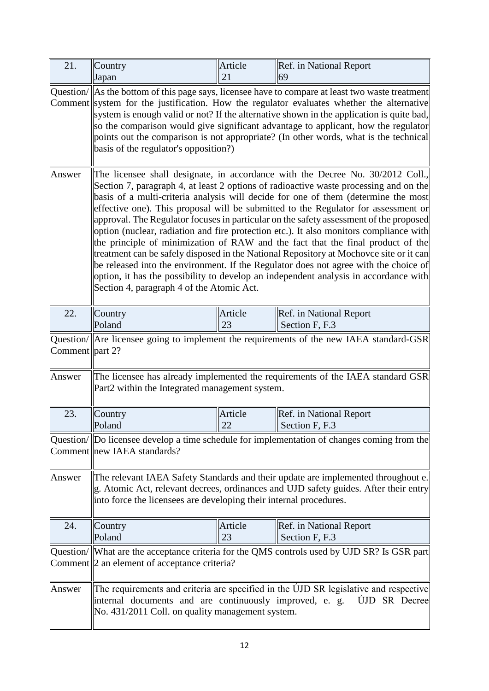| 21.                 | Country<br>Japan                                                                                                                                                                                                                                                                                                                                                                                                                                                                                                                                                                                                                                                                                                                                                                                                                                                                                                                                  | Article<br>21 | Ref. in National Report<br>69                                                                                                                                                                                                                                                                                                                                                                                                                                           |
|---------------------|---------------------------------------------------------------------------------------------------------------------------------------------------------------------------------------------------------------------------------------------------------------------------------------------------------------------------------------------------------------------------------------------------------------------------------------------------------------------------------------------------------------------------------------------------------------------------------------------------------------------------------------------------------------------------------------------------------------------------------------------------------------------------------------------------------------------------------------------------------------------------------------------------------------------------------------------------|---------------|-------------------------------------------------------------------------------------------------------------------------------------------------------------------------------------------------------------------------------------------------------------------------------------------------------------------------------------------------------------------------------------------------------------------------------------------------------------------------|
|                     | basis of the regulator's opposition?)                                                                                                                                                                                                                                                                                                                                                                                                                                                                                                                                                                                                                                                                                                                                                                                                                                                                                                             |               | Question/ As the bottom of this page says, licensee have to compare at least two waste treatment<br>Comment system for the justification. How the regulator evaluates whether the alternative<br>system is enough valid or not? If the alternative shown in the application is quite bad,<br>so the comparison would give significant advantage to applicant, how the regulator<br>points out the comparison is not appropriate? (In other words, what is the technical |
| Answer              | The licensee shall designate, in accordance with the Decree No. 30/2012 Coll.,<br>Section 7, paragraph 4, at least 2 options of radioactive waste processing and on the<br>basis of a multi-criteria analysis will decide for one of them (determine the most<br>effective one). This proposal will be submitted to the Regulator for assessment or<br>approval. The Regulator focuses in particular on the safety assessment of the proposed<br>option (nuclear, radiation and fire protection etc.). It also monitors compliance with<br>the principle of minimization of RAW and the fact that the final product of the<br>treatment can be safely disposed in the National Repository at Mochovce site or it can<br>be released into the environment. If the Regulator does not agree with the choice of<br>option, it has the possibility to develop an independent analysis in accordance with<br>Section 4, paragraph 4 of the Atomic Act. |               |                                                                                                                                                                                                                                                                                                                                                                                                                                                                         |
| 22.                 | Country<br>Poland                                                                                                                                                                                                                                                                                                                                                                                                                                                                                                                                                                                                                                                                                                                                                                                                                                                                                                                                 | Article<br>23 | Ref. in National Report<br>Section F, F.3                                                                                                                                                                                                                                                                                                                                                                                                                               |
| Comment $ $ part 2? |                                                                                                                                                                                                                                                                                                                                                                                                                                                                                                                                                                                                                                                                                                                                                                                                                                                                                                                                                   |               | Question/ $\parallel$ Are licensee going to implement the requirements of the new IAEA standard-GSR                                                                                                                                                                                                                                                                                                                                                                     |
| Answer              | Part2 within the Integrated management system.                                                                                                                                                                                                                                                                                                                                                                                                                                                                                                                                                                                                                                                                                                                                                                                                                                                                                                    |               | The licensee has already implemented the requirements of the IAEA standard GSR                                                                                                                                                                                                                                                                                                                                                                                          |
| 23.                 | Country<br>Poland                                                                                                                                                                                                                                                                                                                                                                                                                                                                                                                                                                                                                                                                                                                                                                                                                                                                                                                                 | Article<br>22 | Ref. in National Report<br>Section F, F.3                                                                                                                                                                                                                                                                                                                                                                                                                               |
|                     | Comment new IAEA standards?                                                                                                                                                                                                                                                                                                                                                                                                                                                                                                                                                                                                                                                                                                                                                                                                                                                                                                                       |               | Question/ Do licensee develop a time schedule for implementation of changes coming from the                                                                                                                                                                                                                                                                                                                                                                             |
| Answer              | The relevant IAEA Safety Standards and their update are implemented throughout e.<br>g. Atomic Act, relevant decrees, ordinances and UJD safety guides. After their entry<br>into force the licensees are developing their internal procedures.                                                                                                                                                                                                                                                                                                                                                                                                                                                                                                                                                                                                                                                                                                   |               |                                                                                                                                                                                                                                                                                                                                                                                                                                                                         |
| 24.                 | Country<br>Poland                                                                                                                                                                                                                                                                                                                                                                                                                                                                                                                                                                                                                                                                                                                                                                                                                                                                                                                                 | Article<br>23 | Ref. in National Report<br>Section F, F.3                                                                                                                                                                                                                                                                                                                                                                                                                               |
|                     | Comment 2 an element of acceptance criteria?                                                                                                                                                                                                                                                                                                                                                                                                                                                                                                                                                                                                                                                                                                                                                                                                                                                                                                      |               | Question/ What are the acceptance criteria for the QMS controls used by UJD SR? Is GSR part                                                                                                                                                                                                                                                                                                                                                                             |
| Answer              | internal documents and are continuously improved, e. g.<br>No. 431/2011 Coll. on quality management system.                                                                                                                                                                                                                                                                                                                                                                                                                                                                                                                                                                                                                                                                                                                                                                                                                                       |               | The requirements and criteria are specified in the UJD SR legislative and respective<br>UJD SR Decree                                                                                                                                                                                                                                                                                                                                                                   |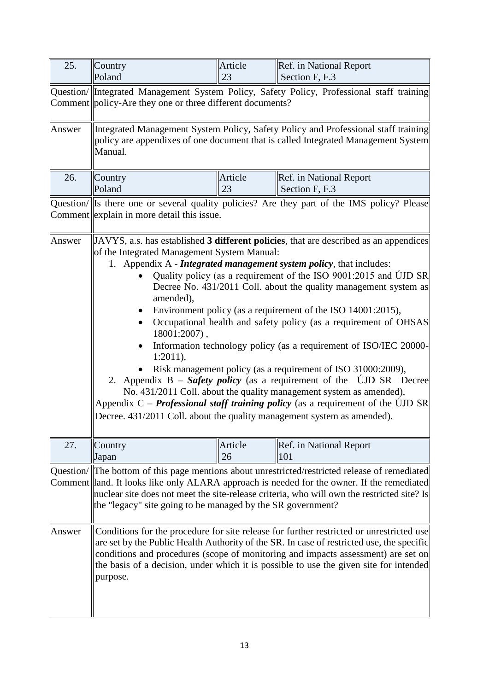| 25.    | Country<br>Poland                                                                                                                                                                                                                                                                                                                                                                                                                                                                                                                                                                                                                                                                                                                                                                                                                                                                                                                                                                                       | Article<br>23 | Ref. in National Report<br>Section F, F.3                                                                                                                                                                                                                                                                                                                            |
|--------|---------------------------------------------------------------------------------------------------------------------------------------------------------------------------------------------------------------------------------------------------------------------------------------------------------------------------------------------------------------------------------------------------------------------------------------------------------------------------------------------------------------------------------------------------------------------------------------------------------------------------------------------------------------------------------------------------------------------------------------------------------------------------------------------------------------------------------------------------------------------------------------------------------------------------------------------------------------------------------------------------------|---------------|----------------------------------------------------------------------------------------------------------------------------------------------------------------------------------------------------------------------------------------------------------------------------------------------------------------------------------------------------------------------|
|        | Question/ Integrated Management System Policy, Safety Policy, Professional staff training<br>Comment $\ $ policy-Are they one or three different documents?                                                                                                                                                                                                                                                                                                                                                                                                                                                                                                                                                                                                                                                                                                                                                                                                                                             |               |                                                                                                                                                                                                                                                                                                                                                                      |
| Answer | Integrated Management System Policy, Safety Policy and Professional staff training<br>policy are appendixes of one document that is called Integrated Management System<br>Manual.                                                                                                                                                                                                                                                                                                                                                                                                                                                                                                                                                                                                                                                                                                                                                                                                                      |               |                                                                                                                                                                                                                                                                                                                                                                      |
| 26.    | Country<br>Poland                                                                                                                                                                                                                                                                                                                                                                                                                                                                                                                                                                                                                                                                                                                                                                                                                                                                                                                                                                                       | Article<br>23 | <b>Ref.</b> in National Report<br>Section F, F.3                                                                                                                                                                                                                                                                                                                     |
|        | Comment explain in more detail this issue.                                                                                                                                                                                                                                                                                                                                                                                                                                                                                                                                                                                                                                                                                                                                                                                                                                                                                                                                                              |               | Question/ Is there one or several quality policies? Are they part of the IMS policy? Please                                                                                                                                                                                                                                                                          |
| Answer | JAVYS, a.s. has established 3 different policies, that are described as an appendices<br>of the Integrated Management System Manual:<br>1. Appendix A - <i>Integrated management system policy</i> , that includes:<br>Quality policy (as a requirement of the ISO 9001:2015 and UJD SR<br>Decree No. 431/2011 Coll. about the quality management system as<br>amended),<br>Environment policy (as a requirement of the ISO 14001:2015),<br>Occupational health and safety policy (as a requirement of OHSAS<br>$18001:2007$ ,<br>Information technology policy (as a requirement of ISO/IEC 20000-<br>$1:2011$ ,<br>Risk management policy (as a requirement of ISO 31000:2009),<br>2. Appendix B – Safety policy (as a requirement of the UJD SR Decree<br>No. 431/2011 Coll. about the quality management system as amended),<br>Appendix $C$ – <i>Professional staff training policy</i> (as a requirement of the UJD SR<br>Decree. 431/2011 Coll. about the quality management system as amended). |               |                                                                                                                                                                                                                                                                                                                                                                      |
| 27.    | Country<br>Japan                                                                                                                                                                                                                                                                                                                                                                                                                                                                                                                                                                                                                                                                                                                                                                                                                                                                                                                                                                                        | Article<br>26 | Ref. in National Report<br>101                                                                                                                                                                                                                                                                                                                                       |
|        | the "legacy" site going to be managed by the SR government?                                                                                                                                                                                                                                                                                                                                                                                                                                                                                                                                                                                                                                                                                                                                                                                                                                                                                                                                             |               | Question/ The bottom of this page mentions about unrestricted/restricted release of remediated<br>Comment land. It looks like only ALARA approach is needed for the owner. If the remediated<br>nuclear site does not meet the site-release criteria, who will own the restricted site? Is                                                                           |
| Answer | purpose.                                                                                                                                                                                                                                                                                                                                                                                                                                                                                                                                                                                                                                                                                                                                                                                                                                                                                                                                                                                                |               | Conditions for the procedure for site release for further restricted or unrestricted use<br>are set by the Public Health Authority of the SR. In case of restricted use, the specific<br>conditions and procedures (scope of monitoring and impacts assessment) are set on<br>the basis of a decision, under which it is possible to use the given site for intended |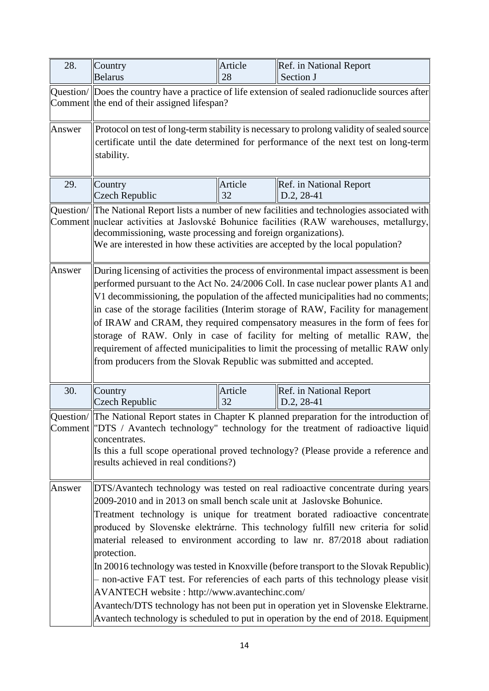| 28.       | Country<br><b>Belarus</b>                                                                                                                                                                                                                                                                                                                                                                                                                                                                                                                                                                                                                                                                                                                                                                                                                   | Article<br>28 | Ref. in National Report<br>Section J  |  |
|-----------|---------------------------------------------------------------------------------------------------------------------------------------------------------------------------------------------------------------------------------------------------------------------------------------------------------------------------------------------------------------------------------------------------------------------------------------------------------------------------------------------------------------------------------------------------------------------------------------------------------------------------------------------------------------------------------------------------------------------------------------------------------------------------------------------------------------------------------------------|---------------|---------------------------------------|--|
|           | Question/ Does the country have a practice of life extension of sealed radionuclide sources after<br>Comment the end of their assigned lifespan?                                                                                                                                                                                                                                                                                                                                                                                                                                                                                                                                                                                                                                                                                            |               |                                       |  |
| Answer    | Protocol on test of long-term stability is necessary to prolong validity of sealed source<br>certificate until the date determined for performance of the next test on long-term<br>stability.                                                                                                                                                                                                                                                                                                                                                                                                                                                                                                                                                                                                                                              |               |                                       |  |
| 29.       | Country<br><b>Czech Republic</b>                                                                                                                                                                                                                                                                                                                                                                                                                                                                                                                                                                                                                                                                                                                                                                                                            | Article<br>32 | Ref. in National Report<br>D.2, 28-41 |  |
| Question/ | The National Report lists a number of new facilities and technologies associated with<br>Comment nuclear activities at Jaslovské Bohunice facilities (RAW warehouses, metallurgy,<br>decommissioning, waste processing and foreign organizations).<br>We are interested in how these activities are accepted by the local population?                                                                                                                                                                                                                                                                                                                                                                                                                                                                                                       |               |                                       |  |
| Answer    | During licensing of activities the process of environmental impact assessment is been<br>performed pursuant to the Act No. 24/2006 Coll. In case nuclear power plants A1 and<br>V1 decommissioning, the population of the affected municipalities had no comments;<br>in case of the storage facilities (Interim storage of RAW, Facility for management<br>of IRAW and CRAM, they required compensatory measures in the form of fees for<br>storage of RAW. Only in case of facility for melting of metallic RAW, the<br>requirement of affected municipalities to limit the processing of metallic RAW only<br>from producers from the Slovak Republic was submitted and accepted.                                                                                                                                                        |               |                                       |  |
| 30.       | Country<br><b>Czech Republic</b>                                                                                                                                                                                                                                                                                                                                                                                                                                                                                                                                                                                                                                                                                                                                                                                                            | Article<br>32 | Ref. in National Report<br>D.2, 28-41 |  |
|           | Question/ The National Report states in Chapter K planned preparation for the introduction of<br>Comment   "DTS / Avantech technology" technology for the treatment of radioactive liquid<br>concentrates.<br>Is this a full scope operational proved technology? (Please provide a reference and<br>results achieved in real conditions?)                                                                                                                                                                                                                                                                                                                                                                                                                                                                                                  |               |                                       |  |
| Answer    | DTS/Avantech technology was tested on real radioactive concentrate during years<br>2009-2010 and in 2013 on small bench scale unit at Jaslovske Bohunice.<br>Treatment technology is unique for treatment borated radioactive concentrate<br>produced by Slovenske elektrárne. This technology fulfill new criteria for solid<br>material released to environment according to law nr. 87/2018 about radiation<br>protection.<br>In 20016 technology was tested in Knoxville (before transport to the Slovak Republic)<br>- non-active FAT test. For referencies of each parts of this technology please visit<br>AVANTECH website: http://www.avantechinc.com/<br>Avantech/DTS technology has not been put in operation yet in Slovenske Elektrarne.<br>Avantech technology is scheduled to put in operation by the end of 2018. Equipment |               |                                       |  |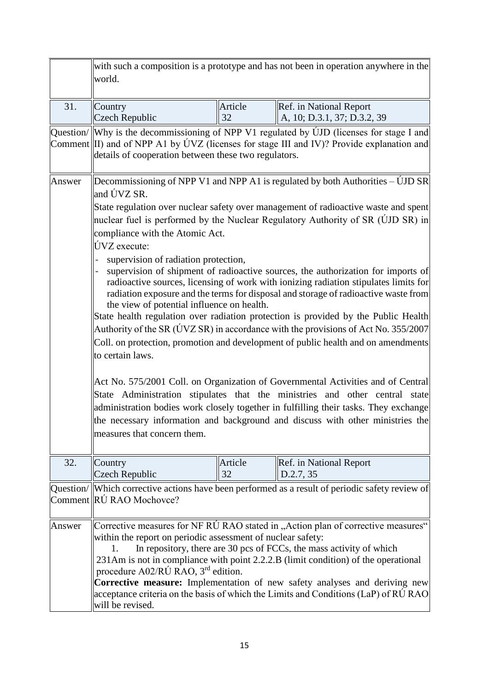|        | with such a composition is a prototype and has not been in operation anywhere in the<br>world.                                                                                                                                                                                                                                                                                                                                                                                                                                                                                                                                                                                                                                                                                                                                                                                                                                                                                                                                                                                                                                                                                                                                                                                                                                                                          |               |                                                                                                 |  |
|--------|-------------------------------------------------------------------------------------------------------------------------------------------------------------------------------------------------------------------------------------------------------------------------------------------------------------------------------------------------------------------------------------------------------------------------------------------------------------------------------------------------------------------------------------------------------------------------------------------------------------------------------------------------------------------------------------------------------------------------------------------------------------------------------------------------------------------------------------------------------------------------------------------------------------------------------------------------------------------------------------------------------------------------------------------------------------------------------------------------------------------------------------------------------------------------------------------------------------------------------------------------------------------------------------------------------------------------------------------------------------------------|---------------|-------------------------------------------------------------------------------------------------|--|
| 31.    | Country<br><b>Czech Republic</b>                                                                                                                                                                                                                                                                                                                                                                                                                                                                                                                                                                                                                                                                                                                                                                                                                                                                                                                                                                                                                                                                                                                                                                                                                                                                                                                                        | Article<br>32 | Ref. in National Report<br>A, 10; D.3.1, 37; D.3.2, 39                                          |  |
|        | Question/ Why is the decommissioning of NPP V1 regulated by UJD (licenses for stage I and<br>Comment $\parallel$ II) and of NPP A1 by ÚVZ (licenses for stage III and IV)? Provide explanation and<br>details of cooperation between these two regulators.                                                                                                                                                                                                                                                                                                                                                                                                                                                                                                                                                                                                                                                                                                                                                                                                                                                                                                                                                                                                                                                                                                              |               |                                                                                                 |  |
| Answer | Decommissioning of NPP V1 and NPP A1 is regulated by both Authorities $-\text{UID SR}$<br>and ÚVZ SR.<br>State regulation over nuclear safety over management of radioactive waste and spent<br>nuclear fuel is performed by the Nuclear Regulatory Authority of SR (UJD SR) in<br>compliance with the Atomic Act.<br>ÚVZ execute:<br>supervision of radiation protection,<br>supervision of shipment of radioactive sources, the authorization for imports of<br>radioactive sources, licensing of work with ionizing radiation stipulates limits for<br>radiation exposure and the terms for disposal and storage of radioactive waste from<br>the view of potential influence on health.<br>State health regulation over radiation protection is provided by the Public Health<br>Authority of the SR ( $\acute{U}VZ$ SR) in accordance with the provisions of Act No. 355/2007<br>Coll. on protection, promotion and development of public health and on amendments<br>to certain laws.<br>Act No. 575/2001 Coll. on Organization of Governmental Activities and of Central<br>State Administration stipulates that the ministries and other central state<br>administration bodies work closely together in fulfilling their tasks. They exchange<br>the necessary information and background and discuss with other ministries the<br>measures that concern them. |               |                                                                                                 |  |
| 32.    | Country<br><b>Czech Republic</b>                                                                                                                                                                                                                                                                                                                                                                                                                                                                                                                                                                                                                                                                                                                                                                                                                                                                                                                                                                                                                                                                                                                                                                                                                                                                                                                                        | Article<br>32 | Ref. in National Report<br>D.2.7, 35                                                            |  |
|        | Comment RÚ RAO Mochovce?                                                                                                                                                                                                                                                                                                                                                                                                                                                                                                                                                                                                                                                                                                                                                                                                                                                                                                                                                                                                                                                                                                                                                                                                                                                                                                                                                |               | Question/ Which corrective actions have been performed as a result of periodic safety review of |  |
| Answer | Corrective measures for NF RU RAO stated in "Action plan of corrective measures"<br>within the report on periodic assessment of nuclear safety:<br>In repository, there are 30 pcs of FCCs, the mass activity of which<br>231Am is not in compliance with point 2.2.2.B (limit condition) of the operational<br>procedure A02/RÚ RAO, 3 <sup>rd</sup> edition.<br><b>Corrective measure:</b> Implementation of new safety analyses and deriving new<br>acceptance criteria on the basis of which the Limits and Conditions (LaP) of RU RAO<br>will be revised.                                                                                                                                                                                                                                                                                                                                                                                                                                                                                                                                                                                                                                                                                                                                                                                                          |               |                                                                                                 |  |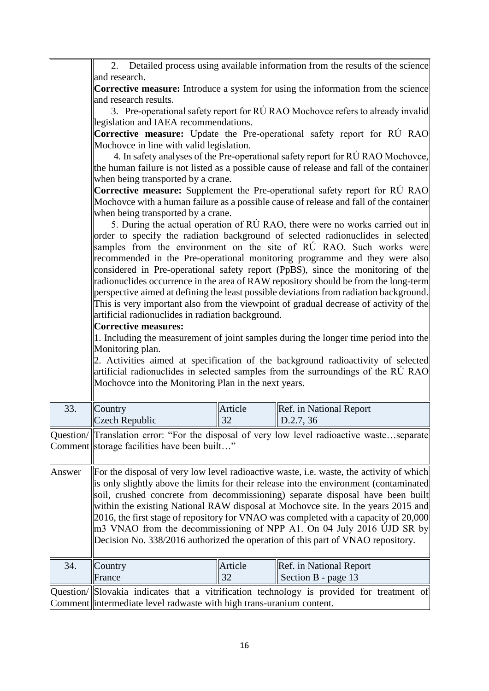|                                                                                                                                                          | 2. Detailed process using available information from the results of the science                                                                                                                                                                                                                                                          |         |                                                                                            |  |
|----------------------------------------------------------------------------------------------------------------------------------------------------------|------------------------------------------------------------------------------------------------------------------------------------------------------------------------------------------------------------------------------------------------------------------------------------------------------------------------------------------|---------|--------------------------------------------------------------------------------------------|--|
|                                                                                                                                                          | and research.<br><b>Corrective measure:</b> Introduce a system for using the information from the science<br>and research results.<br>3. Pre-operational safety report for RÚ RAO Mochovce refers to already invalid                                                                                                                     |         |                                                                                            |  |
|                                                                                                                                                          |                                                                                                                                                                                                                                                                                                                                          |         |                                                                                            |  |
|                                                                                                                                                          |                                                                                                                                                                                                                                                                                                                                          |         |                                                                                            |  |
|                                                                                                                                                          | legislation and IAEA recommendations.                                                                                                                                                                                                                                                                                                    |         |                                                                                            |  |
|                                                                                                                                                          | <b>Corrective measure:</b> Update the Pre-operational safety report for RU RAO<br>Mochovce in line with valid legislation.                                                                                                                                                                                                               |         |                                                                                            |  |
|                                                                                                                                                          |                                                                                                                                                                                                                                                                                                                                          |         |                                                                                            |  |
|                                                                                                                                                          |                                                                                                                                                                                                                                                                                                                                          |         | 4. In safety analyses of the Pre-operational safety report for RÚ RAO Mochovce,            |  |
|                                                                                                                                                          |                                                                                                                                                                                                                                                                                                                                          |         | the human failure is not listed as a possible cause of release and fall of the container   |  |
|                                                                                                                                                          | when being transported by a crane.                                                                                                                                                                                                                                                                                                       |         |                                                                                            |  |
|                                                                                                                                                          |                                                                                                                                                                                                                                                                                                                                          |         | <b>Corrective measure:</b> Supplement the Pre-operational safety report for RU RAO         |  |
|                                                                                                                                                          |                                                                                                                                                                                                                                                                                                                                          |         | Mochovce with a human failure as a possible cause of release and fall of the container     |  |
|                                                                                                                                                          | when being transported by a crane.                                                                                                                                                                                                                                                                                                       |         |                                                                                            |  |
|                                                                                                                                                          |                                                                                                                                                                                                                                                                                                                                          |         | 5. During the actual operation of RÚ RAO, there were no works carried out in               |  |
|                                                                                                                                                          |                                                                                                                                                                                                                                                                                                                                          |         | order to specify the radiation background of selected radionuclides in selected            |  |
|                                                                                                                                                          |                                                                                                                                                                                                                                                                                                                                          |         | samples from the environment on the site of RU RAO. Such works were                        |  |
|                                                                                                                                                          |                                                                                                                                                                                                                                                                                                                                          |         | recommended in the Pre-operational monitoring programme and they were also                 |  |
|                                                                                                                                                          |                                                                                                                                                                                                                                                                                                                                          |         | considered in Pre-operational safety report (PpBS), since the monitoring of the            |  |
|                                                                                                                                                          |                                                                                                                                                                                                                                                                                                                                          |         | radionuclides occurrence in the area of RAW repository should be from the long-term        |  |
|                                                                                                                                                          |                                                                                                                                                                                                                                                                                                                                          |         | perspective aimed at defining the least possible deviations from radiation background.     |  |
|                                                                                                                                                          |                                                                                                                                                                                                                                                                                                                                          |         | This is very important also from the viewpoint of gradual decrease of activity of the      |  |
|                                                                                                                                                          | artificial radionuclides in radiation background.                                                                                                                                                                                                                                                                                        |         |                                                                                            |  |
|                                                                                                                                                          | <b>Corrective measures:</b>                                                                                                                                                                                                                                                                                                              |         |                                                                                            |  |
|                                                                                                                                                          | 1. Including the measurement of joint samples during the longer time period into the<br>Monitoring plan.<br>2. Activities aimed at specification of the background radioactivity of selected<br>artificial radionuclides in selected samples from the surroundings of the RU RAO<br>Mochovce into the Monitoring Plan in the next years. |         |                                                                                            |  |
|                                                                                                                                                          |                                                                                                                                                                                                                                                                                                                                          |         |                                                                                            |  |
|                                                                                                                                                          |                                                                                                                                                                                                                                                                                                                                          |         |                                                                                            |  |
|                                                                                                                                                          |                                                                                                                                                                                                                                                                                                                                          |         |                                                                                            |  |
|                                                                                                                                                          |                                                                                                                                                                                                                                                                                                                                          |         |                                                                                            |  |
|                                                                                                                                                          |                                                                                                                                                                                                                                                                                                                                          |         |                                                                                            |  |
| 33.                                                                                                                                                      | Country                                                                                                                                                                                                                                                                                                                                  | Article | Ref. in National Report                                                                    |  |
|                                                                                                                                                          | <b>Czech Republic</b>                                                                                                                                                                                                                                                                                                                    | 32      | D.2.7, 36                                                                                  |  |
|                                                                                                                                                          |                                                                                                                                                                                                                                                                                                                                          |         | Question/ Translation error: "For the disposal of very low level radioactive wasteseparate |  |
|                                                                                                                                                          | Comment storage facilities have been built"                                                                                                                                                                                                                                                                                              |         |                                                                                            |  |
|                                                                                                                                                          |                                                                                                                                                                                                                                                                                                                                          |         |                                                                                            |  |
| Answer                                                                                                                                                   |                                                                                                                                                                                                                                                                                                                                          |         | For the disposal of very low level radioactive waste, i.e. waste, the activity of which    |  |
|                                                                                                                                                          |                                                                                                                                                                                                                                                                                                                                          |         | is only slightly above the limits for their release into the environment (contaminated     |  |
|                                                                                                                                                          | soil, crushed concrete from decommissioning) separate disposal have been built                                                                                                                                                                                                                                                           |         |                                                                                            |  |
|                                                                                                                                                          |                                                                                                                                                                                                                                                                                                                                          |         | within the existing National RAW disposal at Mochovce site. In the years 2015 and          |  |
|                                                                                                                                                          | $[2016,$ the first stage of repository for VNAO was completed with a capacity of 20,000                                                                                                                                                                                                                                                  |         |                                                                                            |  |
| m3 VNAO from the decommissioning of NPP A1. On 04 July 2016 UJD SR by<br>Decision No. 338/2016 authorized the operation of this part of VNAO repository. |                                                                                                                                                                                                                                                                                                                                          |         |                                                                                            |  |
|                                                                                                                                                          |                                                                                                                                                                                                                                                                                                                                          |         |                                                                                            |  |
|                                                                                                                                                          |                                                                                                                                                                                                                                                                                                                                          |         |                                                                                            |  |
| 34.                                                                                                                                                      | Country                                                                                                                                                                                                                                                                                                                                  | Article | Ref. in National Report                                                                    |  |
|                                                                                                                                                          | France                                                                                                                                                                                                                                                                                                                                   | 32      | Section B - page 13                                                                        |  |
|                                                                                                                                                          |                                                                                                                                                                                                                                                                                                                                          |         |                                                                                            |  |
| Question/                                                                                                                                                | Slovakia indicates that a vitrification technology is provided for treatment of                                                                                                                                                                                                                                                          |         |                                                                                            |  |
|                                                                                                                                                          | Comment intermediate level radwaste with high trans-uranium content.                                                                                                                                                                                                                                                                     |         |                                                                                            |  |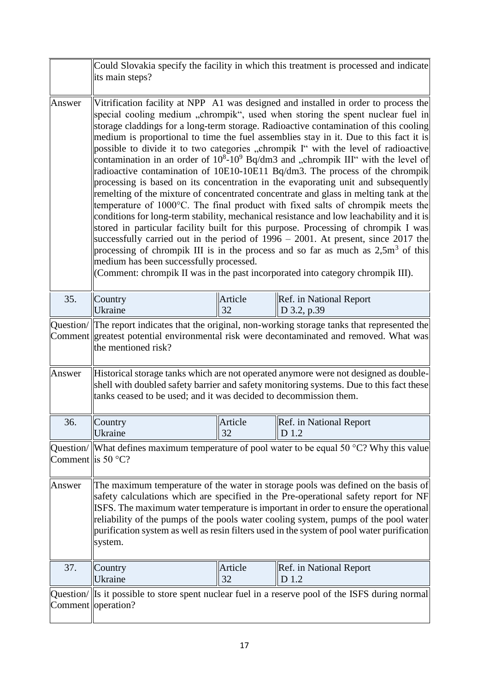|                                           | its main steps?                                                                                                                                                                                                                                                                                                                                                                                                                                                                                                                                                                                                                                                                                                                                                                                                                                                                                                                                                                                                                                                                                                                                                                                                                                                                                                                                                                          |               | Could Slovakia specify the facility in which this treatment is processed and indicate                                                                                             |
|-------------------------------------------|------------------------------------------------------------------------------------------------------------------------------------------------------------------------------------------------------------------------------------------------------------------------------------------------------------------------------------------------------------------------------------------------------------------------------------------------------------------------------------------------------------------------------------------------------------------------------------------------------------------------------------------------------------------------------------------------------------------------------------------------------------------------------------------------------------------------------------------------------------------------------------------------------------------------------------------------------------------------------------------------------------------------------------------------------------------------------------------------------------------------------------------------------------------------------------------------------------------------------------------------------------------------------------------------------------------------------------------------------------------------------------------|---------------|-----------------------------------------------------------------------------------------------------------------------------------------------------------------------------------|
| Answer                                    | Vitrification facility at NPP A1 was designed and installed in order to process the<br>special cooling medium "chrompik", used when storing the spent nuclear fuel in<br>storage claddings for a long-term storage. Radioactive contamination of this cooling<br>medium is proportional to time the fuel assemblies stay in it. Due to this fact it is<br>possible to divide it to two categories "chrompik I" with the level of radioactive<br>contamination in an order of $10^8\t{-}10^9$ Bq/dm3 and , chrompik III" with the level of<br>radioactive contamination of 10E10-10E11 Bq/dm3. The process of the chrompik<br>processing is based on its concentration in the evaporating unit and subsequently<br>remelting of the mixture of concentrated concentrate and glass in melting tank at the<br>temperature of 1000°C. The final product with fixed salts of chrompik meets the<br>conditions for long-term stability, mechanical resistance and low leachability and it is<br>stored in particular facility built for this purpose. Processing of chrompik I was<br>successfully carried out in the period of $1996 - 2001$ . At present, since 2017 the<br>processing of chrompik III is in the process and so far as much as $2.5m3$ of this<br>medium has been successfully processed.<br>(Comment: chrompik II was in the past incorporated into category chrompik III). |               |                                                                                                                                                                                   |
| 35.                                       | Country<br>Ukraine                                                                                                                                                                                                                                                                                                                                                                                                                                                                                                                                                                                                                                                                                                                                                                                                                                                                                                                                                                                                                                                                                                                                                                                                                                                                                                                                                                       | Article<br>32 | Ref. in National Report<br>D 3.2, p.39                                                                                                                                            |
| Question/                                 | the mentioned risk?                                                                                                                                                                                                                                                                                                                                                                                                                                                                                                                                                                                                                                                                                                                                                                                                                                                                                                                                                                                                                                                                                                                                                                                                                                                                                                                                                                      |               | The report indicates that the original, non-working storage tanks that represented the<br>Comment greatest potential environmental risk were decontaminated and removed. What was |
| Answer                                    | Historical storage tanks which are not operated anymore were not designed as double-<br>shell with doubled safety barrier and safety monitoring systems. Due to this fact these<br>tanks ceased to be used; and it was decided to decommission them.                                                                                                                                                                                                                                                                                                                                                                                                                                                                                                                                                                                                                                                                                                                                                                                                                                                                                                                                                                                                                                                                                                                                     |               |                                                                                                                                                                                   |
| 36.                                       | Country<br>Ukraine                                                                                                                                                                                                                                                                                                                                                                                                                                                                                                                                                                                                                                                                                                                                                                                                                                                                                                                                                                                                                                                                                                                                                                                                                                                                                                                                                                       | Article<br>32 | Ref. in National Report<br>D 1.2                                                                                                                                                  |
| Question/<br>Comment lis 50 $^{\circ}$ C? |                                                                                                                                                                                                                                                                                                                                                                                                                                                                                                                                                                                                                                                                                                                                                                                                                                                                                                                                                                                                                                                                                                                                                                                                                                                                                                                                                                                          |               | What defines maximum temperature of pool water to be equal 50 $^{\circ}$ C? Why this value                                                                                        |
| Answer                                    | The maximum temperature of the water in storage pools was defined on the basis of<br>safety calculations which are specified in the Pre-operational safety report for NF<br>ISFS. The maximum water temperature is important in order to ensure the operational<br>reliability of the pumps of the pools water cooling system, pumps of the pool water<br>purification system as well as resin filters used in the system of pool water purification<br>system.                                                                                                                                                                                                                                                                                                                                                                                                                                                                                                                                                                                                                                                                                                                                                                                                                                                                                                                          |               |                                                                                                                                                                                   |
| 37.                                       | Country<br>Ukraine                                                                                                                                                                                                                                                                                                                                                                                                                                                                                                                                                                                                                                                                                                                                                                                                                                                                                                                                                                                                                                                                                                                                                                                                                                                                                                                                                                       | Article<br>32 | Ref. in National Report<br>D 1.2                                                                                                                                                  |
| Question/<br>Comment                      | operation?                                                                                                                                                                                                                                                                                                                                                                                                                                                                                                                                                                                                                                                                                                                                                                                                                                                                                                                                                                                                                                                                                                                                                                                                                                                                                                                                                                               |               | Its it possible to store spent nuclear fuel in a reserve pool of the ISFS during normal                                                                                           |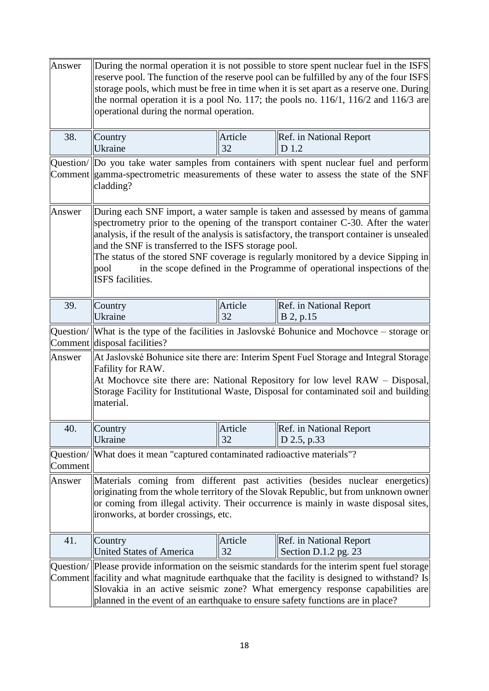| Answer               | During the normal operation it is not possible to store spent nuclear fuel in the ISFS<br>reserve pool. The function of the reserve pool can be fulfilled by any of the four ISFS<br>storage pools, which must be free in time when it is set apart as a reserve one. During<br>the normal operation it is a pool No. 117; the pools no. 116/1, 116/2 and 116/3 are<br>operational during the normal operation.                                                                                                            |               |                                                                                    |
|----------------------|----------------------------------------------------------------------------------------------------------------------------------------------------------------------------------------------------------------------------------------------------------------------------------------------------------------------------------------------------------------------------------------------------------------------------------------------------------------------------------------------------------------------------|---------------|------------------------------------------------------------------------------------|
| 38.                  | Country<br>Ukraine                                                                                                                                                                                                                                                                                                                                                                                                                                                                                                         | Article<br>32 | Ref. in National Report<br>D 1.2                                                   |
|                      | Question/ Do you take water samples from containers with spent nuclear fuel and perform<br>Comment gamma-spectrometric measurements of these water to assess the state of the SNF<br>cladding?                                                                                                                                                                                                                                                                                                                             |               |                                                                                    |
| Answer               | During each SNF import, a water sample is taken and assessed by means of gamma<br>spectrometry prior to the opening of the transport container C-30. After the water<br>analysis, if the result of the analysis is satisfactory, the transport container is unsealed<br>and the SNF is transferred to the ISFS storage pool.<br>The status of the stored SNF coverage is regularly monitored by a device Sipping in<br>in the scope defined in the Programme of operational inspections of the<br>pool<br>ISFS facilities. |               |                                                                                    |
| 39.                  | Country<br>Ukraine                                                                                                                                                                                                                                                                                                                                                                                                                                                                                                         | Article<br>32 | Ref. in National Report<br>B 2, p.15                                               |
| Question/            | Comment disposal facilities?                                                                                                                                                                                                                                                                                                                                                                                                                                                                                               |               | What is the type of the facilities in Jaslovské Bohunice and Mochovce – storage or |
| Answer               | At Jaslovské Bohunice site there are: Interim Spent Fuel Storage and Integral Storage<br>Fafility for RAW.<br>At Mochovce site there are: National Repository for low level RAW - Disposal,<br>Storage Facility for Institutional Waste, Disposal for contaminated soil and building<br>material.                                                                                                                                                                                                                          |               |                                                                                    |
| 40.                  | Country<br>Ukraine                                                                                                                                                                                                                                                                                                                                                                                                                                                                                                         | Article<br>32 | Ref. in National Report<br>D 2.5, p.33                                             |
| Question/<br>Comment | What does it mean "captured contaminated radioactive materials"?                                                                                                                                                                                                                                                                                                                                                                                                                                                           |               |                                                                                    |
| Answer               | Materials coming from different past activities (besides nuclear energetics)<br>originating from the whole territory of the Slovak Republic, but from unknown owner<br>or coming from illegal activity. Their occurrence is mainly in waste disposal sites,<br>ironworks, at border crossings, etc.                                                                                                                                                                                                                        |               |                                                                                    |
| 41.                  | Country<br><b>United States of America</b>                                                                                                                                                                                                                                                                                                                                                                                                                                                                                 | Article<br>32 | Ref. in National Report<br>Section D.1.2 pg. 23                                    |
|                      | Question/  Please provide information on the seismic standards for the interim spent fuel storage<br>Comment facility and what magnitude earthquake that the facility is designed to withstand? Is<br>Slovakia in an active seismic zone? What emergency response capabilities are<br>planned in the event of an earthquake to ensure safety functions are in place?                                                                                                                                                       |               |                                                                                    |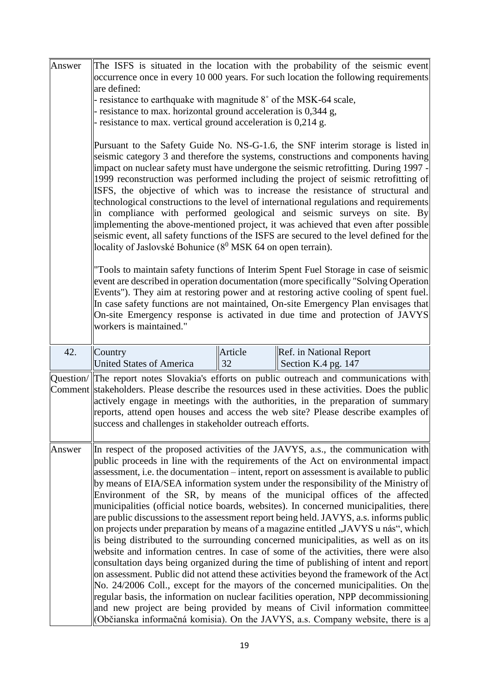| Answer    | The ISFS is situated in the location with the probability of the seismic event<br>occurrence once in every 10 000 years. For such location the following requirements                                                                                                                                                                                                                                                                                                                                                                                                                                                                                                                                                                                                                                                                                         |               |                                                                                                                                                                                                                                                                                                                                                                                                                                                                                                                                                                                                                                                                                                                                                                                                                                                                                                                                                                                                                                                                                                                                                                                                                                                                                                                                                                                                                       |  |
|-----------|---------------------------------------------------------------------------------------------------------------------------------------------------------------------------------------------------------------------------------------------------------------------------------------------------------------------------------------------------------------------------------------------------------------------------------------------------------------------------------------------------------------------------------------------------------------------------------------------------------------------------------------------------------------------------------------------------------------------------------------------------------------------------------------------------------------------------------------------------------------|---------------|-----------------------------------------------------------------------------------------------------------------------------------------------------------------------------------------------------------------------------------------------------------------------------------------------------------------------------------------------------------------------------------------------------------------------------------------------------------------------------------------------------------------------------------------------------------------------------------------------------------------------------------------------------------------------------------------------------------------------------------------------------------------------------------------------------------------------------------------------------------------------------------------------------------------------------------------------------------------------------------------------------------------------------------------------------------------------------------------------------------------------------------------------------------------------------------------------------------------------------------------------------------------------------------------------------------------------------------------------------------------------------------------------------------------------|--|
|           | are defined:<br>- resistance to earthquake with magnitude 8° of the MSK-64 scale,<br>- resistance to max. horizontal ground acceleration is 0,344 g,<br>- resistance to max. vertical ground acceleration is 0,214 g.                                                                                                                                                                                                                                                                                                                                                                                                                                                                                                                                                                                                                                         |               |                                                                                                                                                                                                                                                                                                                                                                                                                                                                                                                                                                                                                                                                                                                                                                                                                                                                                                                                                                                                                                                                                                                                                                                                                                                                                                                                                                                                                       |  |
|           | Pursuant to the Safety Guide No. NS-G-1.6, the SNF interim storage is listed in<br>seismic category 3 and therefore the systems, constructions and components having<br>impact on nuclear safety must have undergone the seismic retrofitting. During 1997 -<br>1999 reconstruction was performed including the project of seismic retrofitting of<br>ISFS, the objective of which was to increase the resistance of structural and<br>technological constructions to the level of international regulations and requirements<br>in compliance with performed geological and seismic surveys on site. By<br>implementing the above-mentioned project, it was achieved that even after possible<br>seismic event, all safety functions of the ISFS are secured to the level defined for the<br>locality of Jaslovské Bohunice ( $8^0$ MSK 64 on open terrain). |               |                                                                                                                                                                                                                                                                                                                                                                                                                                                                                                                                                                                                                                                                                                                                                                                                                                                                                                                                                                                                                                                                                                                                                                                                                                                                                                                                                                                                                       |  |
|           | workers is maintained."                                                                                                                                                                                                                                                                                                                                                                                                                                                                                                                                                                                                                                                                                                                                                                                                                                       |               | "Tools to maintain safety functions of Interim Spent Fuel Storage in case of seismic<br>event are described in operation documentation (more specifically "Solving Operation<br>Events"). They aim at restoring power and at restoring active cooling of spent fuel.<br>In case safety functions are not maintained, On-site Emergency Plan envisages that<br>On-site Emergency response is activated in due time and protection of JAVYS                                                                                                                                                                                                                                                                                                                                                                                                                                                                                                                                                                                                                                                                                                                                                                                                                                                                                                                                                                             |  |
| 42.       | Country<br><b>United States of America</b>                                                                                                                                                                                                                                                                                                                                                                                                                                                                                                                                                                                                                                                                                                                                                                                                                    | Article<br>32 | Ref. in National Report<br>Section K.4 pg. 147                                                                                                                                                                                                                                                                                                                                                                                                                                                                                                                                                                                                                                                                                                                                                                                                                                                                                                                                                                                                                                                                                                                                                                                                                                                                                                                                                                        |  |
| Question/ | success and challenges in stakeholder outreach efforts.                                                                                                                                                                                                                                                                                                                                                                                                                                                                                                                                                                                                                                                                                                                                                                                                       |               | The report notes Slovakia's efforts on public outreach and communications with<br>Comment stakeholders. Please describe the resources used in these activities. Does the public<br>actively engage in meetings with the authorities, in the preparation of summary<br>reports, attend open houses and access the web site? Please describe examples of                                                                                                                                                                                                                                                                                                                                                                                                                                                                                                                                                                                                                                                                                                                                                                                                                                                                                                                                                                                                                                                                |  |
| Answer    |                                                                                                                                                                                                                                                                                                                                                                                                                                                                                                                                                                                                                                                                                                                                                                                                                                                               |               | In respect of the proposed activities of the JAVYS, a.s., the communication with<br>public proceeds in line with the requirements of the Act on environmental impact<br>assessment, i.e. the documentation - intent, report on assessment is available to public<br>by means of EIA/SEA information system under the responsibility of the Ministry of<br>Environment of the SR, by means of the municipal offices of the affected<br>municipalities (official notice boards, websites). In concerned municipalities, there<br>are public discussions to the assessment report being held. JAVYS, a.s. informs public<br>on projects under preparation by means of a magazine entitled "JAVYS u nás", which<br>is being distributed to the surrounding concerned municipalities, as well as on its<br>website and information centres. In case of some of the activities, there were also<br>consultation days being organized during the time of publishing of intent and report<br>on assessment. Public did not attend these activities beyond the framework of the Act<br>No. 24/2006 Coll., except for the mayors of the concerned municipalities. On the<br>regular basis, the information on nuclear facilities operation, NPP decommissioning<br>and new project are being provided by means of Civil information committee<br>(Občianska informačná komisia). On the JAVYS, a.s. Company website, there is a |  |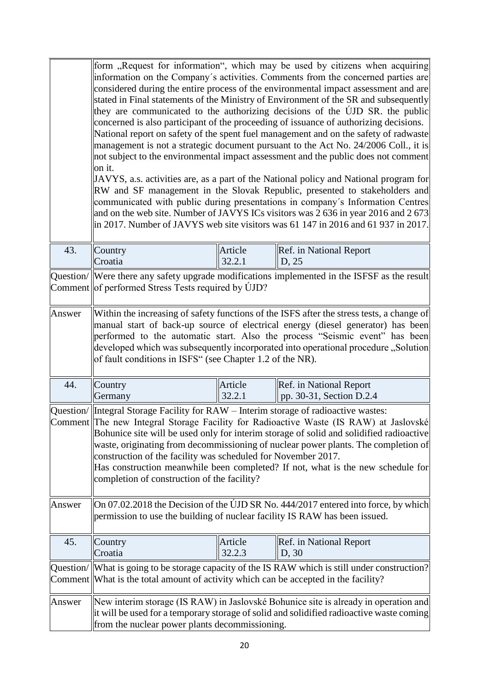|           | on it.                                                                                                                                                                                                                                                                                                                                                                                                                                                                                                                                                            |                   | form "Request for information", which may be used by citizens when acquiring<br>information on the Company's activities. Comments from the concerned parties are<br>considered during the entire process of the environmental impact assessment and are<br>stated in Final statements of the Ministry of Environment of the SR and subsequently<br>they are communicated to the authorizing decisions of the UJD SR, the public<br>concerned is also participant of the proceeding of issuance of authorizing decisions.<br>National report on safety of the spent fuel management and on the safety of radwaste<br>management is not a strategic document pursuant to the Act No. 24/2006 Coll., it is<br>not subject to the environmental impact assessment and the public does not comment<br>JAVYS, a.s. activities are, as a part of the National policy and National program for<br>RW and SF management in the Slovak Republic, presented to stakeholders and<br>communicated with public during presentations in company's Information Centres<br>and on the web site. Number of JAVYS ICs visitors was 2 636 in year 2016 and 2 673<br>in 2017. Number of JAVYS web site visitors was 61 147 in 2016 and 61 937 in 2017. |
|-----------|-------------------------------------------------------------------------------------------------------------------------------------------------------------------------------------------------------------------------------------------------------------------------------------------------------------------------------------------------------------------------------------------------------------------------------------------------------------------------------------------------------------------------------------------------------------------|-------------------|-----------------------------------------------------------------------------------------------------------------------------------------------------------------------------------------------------------------------------------------------------------------------------------------------------------------------------------------------------------------------------------------------------------------------------------------------------------------------------------------------------------------------------------------------------------------------------------------------------------------------------------------------------------------------------------------------------------------------------------------------------------------------------------------------------------------------------------------------------------------------------------------------------------------------------------------------------------------------------------------------------------------------------------------------------------------------------------------------------------------------------------------------------------------------------------------------------------------------------------|
| 43.       | Country                                                                                                                                                                                                                                                                                                                                                                                                                                                                                                                                                           | Article           | Ref. in National Report                                                                                                                                                                                                                                                                                                                                                                                                                                                                                                                                                                                                                                                                                                                                                                                                                                                                                                                                                                                                                                                                                                                                                                                                           |
|           | Croatia                                                                                                                                                                                                                                                                                                                                                                                                                                                                                                                                                           | 32.2.1            | D, 25                                                                                                                                                                                                                                                                                                                                                                                                                                                                                                                                                                                                                                                                                                                                                                                                                                                                                                                                                                                                                                                                                                                                                                                                                             |
|           | Question/ Were there any safety upgrade modifications implemented in the ISFSF as the result<br>Comment of performed Stress Tests required by UJD?                                                                                                                                                                                                                                                                                                                                                                                                                |                   |                                                                                                                                                                                                                                                                                                                                                                                                                                                                                                                                                                                                                                                                                                                                                                                                                                                                                                                                                                                                                                                                                                                                                                                                                                   |
| Answer    | Within the increasing of safety functions of the ISFS after the stress tests, a change of<br>manual start of back-up source of electrical energy (diesel generator) has been<br>performed to the automatic start. Also the process "Seismic event" has been<br>developed which was subsequently incorporated into operational procedure "Solution<br>of fault conditions in ISFS" (see Chapter 1.2 of the NR).                                                                                                                                                    |                   |                                                                                                                                                                                                                                                                                                                                                                                                                                                                                                                                                                                                                                                                                                                                                                                                                                                                                                                                                                                                                                                                                                                                                                                                                                   |
| 44.       | Country<br>Germany                                                                                                                                                                                                                                                                                                                                                                                                                                                                                                                                                | Article<br>32.2.1 | Ref. in National Report<br>pp. 30-31, Section D.2.4                                                                                                                                                                                                                                                                                                                                                                                                                                                                                                                                                                                                                                                                                                                                                                                                                                                                                                                                                                                                                                                                                                                                                                               |
|           | Question/ Integral Storage Facility for RAW – Interim storage of radioactive wastes:<br>Comment The new Integral Storage Facility for Radioactive Waste (IS RAW) at Jaslovské<br>Bohunice site will be used only for interim storage of solid and solidified radioactive<br>waste, originating from decommissioning of nuclear power plants. The completion of<br>construction of the facility was scheduled for November 2017.<br>Has construction meanwhile been completed? If not, what is the new schedule for<br>completion of construction of the facility? |                   |                                                                                                                                                                                                                                                                                                                                                                                                                                                                                                                                                                                                                                                                                                                                                                                                                                                                                                                                                                                                                                                                                                                                                                                                                                   |
| Answer    | On 07.02.2018 the Decision of the UJD SR No. 444/2017 entered into force, by which<br>permission to use the building of nuclear facility IS RAW has been issued.                                                                                                                                                                                                                                                                                                                                                                                                  |                   |                                                                                                                                                                                                                                                                                                                                                                                                                                                                                                                                                                                                                                                                                                                                                                                                                                                                                                                                                                                                                                                                                                                                                                                                                                   |
| 45.       | Country<br>Croatia                                                                                                                                                                                                                                                                                                                                                                                                                                                                                                                                                | Article<br>32.2.3 | Ref. in National Report<br>D, 30                                                                                                                                                                                                                                                                                                                                                                                                                                                                                                                                                                                                                                                                                                                                                                                                                                                                                                                                                                                                                                                                                                                                                                                                  |
| Question/ | Comment What is the total amount of activity which can be accepted in the facility?                                                                                                                                                                                                                                                                                                                                                                                                                                                                               |                   | What is going to be storage capacity of the IS RAW which is still under construction?                                                                                                                                                                                                                                                                                                                                                                                                                                                                                                                                                                                                                                                                                                                                                                                                                                                                                                                                                                                                                                                                                                                                             |
| Answer    | New interim storage (IS RAW) in Jaslovské Bohunice site is already in operation and<br>it will be used for a temporary storage of solid and solidified radioactive waste coming<br>from the nuclear power plants decommissioning.                                                                                                                                                                                                                                                                                                                                 |                   |                                                                                                                                                                                                                                                                                                                                                                                                                                                                                                                                                                                                                                                                                                                                                                                                                                                                                                                                                                                                                                                                                                                                                                                                                                   |